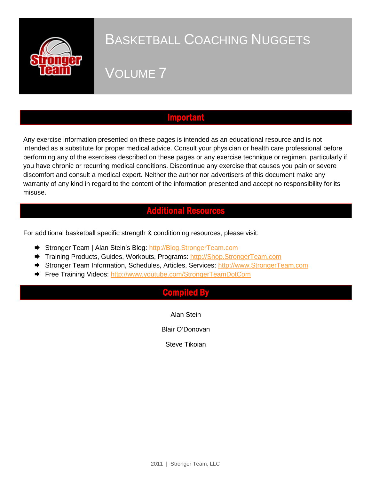

# BASKETBALL COACHING NUGGETS

VOLUME 7

# Important

Any exercise information presented on these pages is intended as an educational resource and is not intended as a substitute for proper medical advice. Consult your physician or health care professional before performing any of the exercises described on these pages or any exercise technique or regimen, particularly if you have chronic or recurring medical conditions. Discontinue any exercise that causes you pain or severe discomfort and consult a medical expert. Neither the author nor advertisers of this document make any warranty of any kind in regard to the content of the information presented and accept no responsibility for its misuse.

# Additional Resources

For additional basketball specific strength & conditioning resources, please visit:

- ◆ Stronger Team | Alan Stein's Blog: [http://Blog.StrongerTeam.com](http://blog.strongerteam.com/)
- ◆ Training Products, Guides, Workouts, Programs: [http://Shop.StrongerTeam.com](http://shop.strongerteam.com/)
- ◆ Stronger Team Information, Schedules, Articles, Services: [http://www.StrongerTeam.com](http://www.strongerteam.com/)
- ◆ Free Training Videos:<http://www.youtube.com/StrongerTeamDotCom>

# Compil

Alan Stein

Blair O'Donovan

Steve Tikoian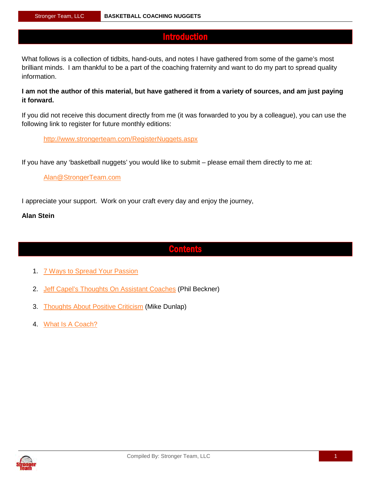# Introduction

What follows is a collection of tidbits, hand-outs, and notes I have gathered from some of the game's most brilliant minds. I am thankful to be a part of the coaching fraternity and want to do my part to spread quality information.

## **I am not the author of this material, but have gathered it from a variety of sources, and am just paying it forward.**

If you did not receive this document directly from me (it was forwarded to you by a colleague), you can use the following link to register for future monthly editions:

<http://www.strongerteam.com/RegisterNuggets.aspx>

If you have any 'basketball nuggets' you would like to submit – please email them directly to me at:

[Alan@StrongerTeam.com](mailto:Alan@StrongerTeam.com)

I appreciate your support. Work on your craft every day and enjoy the journey,

### **Alan Stein**

# **Contents**

- 1. [7 Ways to Spread Your Passion](#page-2-0)
- 2. [Jeff Capel's Thoughts On Assistant Coaches](#page-4-0) (Phil Beckner)
- 3. [Thoughts About Positive Criticism](#page-5-0) (Mike Dunlap)
- 4. [What Is A Coach?](#page-8-0)

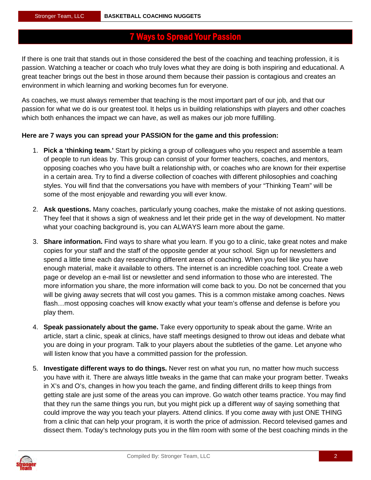# ays to Spread Your Passion

<span id="page-2-0"></span>If there is one trait that stands out in those considered the best of the coaching and teaching profession, it is passion. Watching a teacher or coach who truly loves what they are doing is both inspiring and educational. A great teacher brings out the best in those around them because their passion is contagious and creates an environment in which learning and working becomes fun for everyone.

As coaches, we must always remember that teaching is the most important part of our job, and that our passion for what we do is our greatest tool. It helps us in building relationships with players and other coaches which both enhances the impact we can have, as well as makes our job more fulfilling.

### **Here are 7 ways you can spread your PASSION for the game and this profession:**

- 1. **Pick a 'thinking team.'** Start by picking a group of colleagues who you respect and assemble a team of people to run ideas by. This group can consist of your former teachers, coaches, and mentors, opposing coaches who you have built a relationship with, or coaches who are known for their expertise in a certain area. Try to find a diverse collection of coaches with different philosophies and coaching styles. You will find that the conversations you have with members of your "Thinking Team" will be some of the most enjoyable and rewarding you will ever know.
- 2. **Ask questions.** Many coaches, particularly young coaches, make the mistake of not asking questions. They feel that it shows a sign of weakness and let their pride get in the way of development. No matter what your coaching background is, you can ALWAYS learn more about the game.
- 3. **Share information.** Find ways to share what you learn. If you go to a clinic, take great notes and make copies for your staff and the staff of the opposite gender at your school. Sign up for newsletters and spend a little time each day researching different areas of coaching. When you feel like you have enough material, make it available to others. The internet is an incredible coaching tool. Create a web page or develop an e-mail list or newsletter and send information to those who are interested. The more information you share, the more information will come back to you. Do not be concerned that you will be giving away secrets that will cost you games. This is a common mistake among coaches. News flash…most opposing coaches will know exactly what your team's offense and defense is before you play them.
- 4. **Speak passionately about the game.** Take every opportunity to speak about the game. Write an article, start a clinic, speak at clinics, have staff meetings designed to throw out ideas and debate what you are doing in your program. Talk to your players about the subtleties of the game. Let anyone who will listen know that you have a committed passion for the profession.
- 5. **Investigate different ways to do things.** Never rest on what you run, no matter how much success you have with it. There are always little tweaks in the game that can make your program better. Tweaks in X's and O's, changes in how you teach the game, and finding different drills to keep things from getting stale are just some of the areas you can improve. Go watch other teams practice. You may find that they run the same things you run, but you might pick up a different way of saying something that could improve the way you teach your players. Attend clinics. If you come away with just ONE THING from a clinic that can help your program, it is worth the price of admission. Record televised games and dissect them. Today's technology puts you in the film room with some of the best coaching minds in the

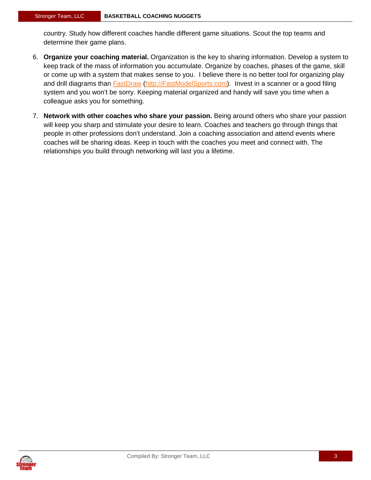country. Study how different coaches handle different game situations. Scout the top teams and determine their game plans.

- 6. **Organize your coaching material.** Organization is the key to sharing information. Develop a system to keep track of the mass of information you accumulate. Organize by coaches, phases of the game, skill or come up with a system that makes sense to you. I believe there is no better tool for organizing play and drill diagrams than [FastDraw \(http://FastModelSports.com\)](http://fastmodelsports.com/). Invest in a scanner or a good filing system and you won't be sorry. Keeping material organized and handy will save you time when a colleague asks you for something.
- 7. **Network with other coaches who share your passion.** Being around others who share your passion will keep you sharp and stimulate your desire to learn. Coaches and teachers go through things that people in other professions don't understand. Join a coaching association and attend events where coaches will be sharing ideas. Keep in touch with the coaches you meet and connect with. The relationships you build through networking will last you a lifetime.

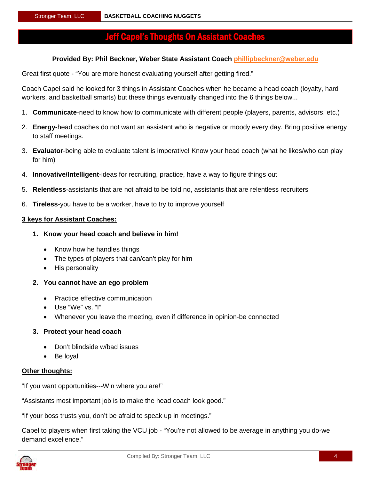# **On Assistant**

## <span id="page-4-0"></span>**Provided By: Phil Beckner, Weber State Assistant Coach [phillipbeckner@weber.edu](mailto:phillipbeckner@weber.edu)**

Great first quote - "You are more honest evaluating yourself after getting fired."

Coach Capel said he looked for 3 things in Assistant Coaches when he became a head coach (loyalty, hard workers, and basketball smarts) but these things eventually changed into the 6 things below...

- 1. **Communicate**-need to know how to communicate with different people (players, parents, advisors, etc.)
- 2. **Energy**-head coaches do not want an assistant who is negative or moody every day. Bring positive energy to staff meetings.
- 3. **Evaluator**-being able to evaluate talent is imperative! Know your head coach (what he likes/who can play for him)
- 4. **Innovative/Intelligent**-ideas for recruiting, practice, have a way to figure things out
- 5. **Relentless**-assistants that are not afraid to be told no, assistants that are relentless recruiters
- 6. **Tireless**-you have to be a worker, have to try to improve yourself

#### **3 keys for Assistant Coaches:**

- **1. Know your head coach and believe in him!**
	- Know how he handles things
	- The types of players that can/can't play for him
	- His personality

#### **2. You cannot have an ego problem**

- Practice effective communication
- Use "We" vs. "I"
- Whenever you leave the meeting, even if difference in opinion-be connected

#### **3. Protect your head coach**

- Don't blindside w/bad issues
- Be loyal

#### **Other thoughts:**

"If you want opportunities---Win where you are!"

"Assistants most important job is to make the head coach look good."

"If your boss trusts you, don't be afraid to speak up in meetings."

Capel to players when first taking the VCU job - "You're not allowed to be average in anything you do-we demand excellence."

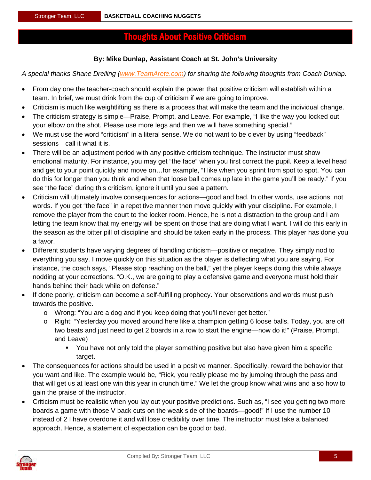# Thoughts About Positive Criticism

### **By: Mike Dunlap, Assistant Coach at St. John's University**

<span id="page-5-0"></span>*A special thanks Shane Dreiling [\(www.TeamArete.com\)](http://www.teamarete.com/) for sharing the following thoughts from Coach Dunlap.* 

- From day one the teacher-coach should explain the power that positive criticism will establish within a team. In brief, we must drink from the cup of criticism if we are going to improve.
- Criticism is much like weightlifting as there is a process that will make the team and the individual change.
- The criticism strategy is simple—Praise, Prompt, and Leave. For example, "I like the way you locked out your elbow on the shot. Please use more legs and then we will have something special."
- We must use the word "criticism" in a literal sense. We do not want to be clever by using "feedback" sessions—call it what it is.
- There will be an adjustment period with any positive criticism technique. The instructor must show emotional maturity. For instance, you may get "the face" when you first correct the pupil. Keep a level head and get to your point quickly and move on…for example, "I like when you sprint from spot to spot. You can do this for longer than you think and when that loose ball comes up late in the game you'll be ready." If you see "the face" during this criticism, ignore it until you see a pattern.
- Criticism will ultimately involve consequences for actions—good and bad. In other words, use actions, not words. If you get "the face" in a repetitive manner then move quickly with your discipline. For example, I remove the player from the court to the locker room. Hence, he is not a distraction to the group and I am letting the team know that my energy will be spent on those that are doing what I want. I will do this early in the season as the bitter pill of discipline and should be taken early in the process. This player has done you a favor.
- Different students have varying degrees of handling criticism—positive or negative. They simply nod to everything you say. I move quickly on this situation as the player is deflecting what you are saying. For instance, the coach says, "Please stop reaching on the ball," yet the player keeps doing this while always nodding at your corrections. "O.K., we are going to play a defensive game and everyone must hold their hands behind their back while on defense."
- If done poorly, criticism can become a self-fulfilling prophecy. Your observations and words must push towards the positive.
	- o Wrong: "You are a dog and if you keep doing that you'll never get better."
	- o Right: "Yesterday you moved around here like a champion getting 6 loose balls. Today, you are off two beats and just need to get 2 boards in a row to start the engine—now do it!" (Praise, Prompt, and Leave)
		- You have not only told the player something positive but also have given him a specific target.
- The consequences for actions should be used in a positive manner. Specifically, reward the behavior that you want and like. The example would be, "Rick, you really please me by jumping through the pass and that will get us at least one win this year in crunch time." We let the group know what wins and also how to gain the praise of the instructor.
- Criticism must be realistic when you lay out your positive predictions. Such as, "I see you getting two more boards a game with those V back cuts on the weak side of the boards—good!" If I use the number 10 instead of 2 I have overdone it and will lose credibility over time. The instructor must take a balanced approach. Hence, a statement of expectation can be good or bad.

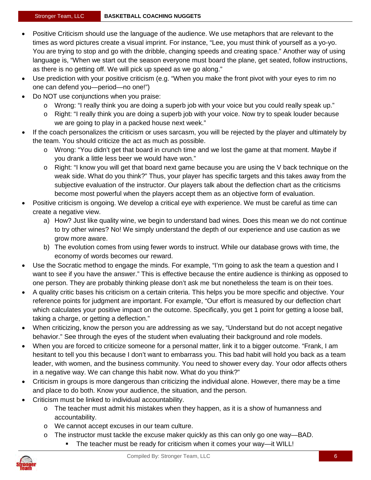- Positive Criticism should use the language of the audience. We use metaphors that are relevant to the times as word pictures create a visual imprint. For instance, "Lee, you must think of yourself as a yo-yo. You are trying to stop and go with the dribble, changing speeds and creating space." Another way of using language is, "When we start out the season everyone must board the plane, get seated, follow instructions, as there is no getting off. We will pick up speed as we go along."
- Use prediction with your positive criticism (e.g. "When you make the front pivot with your eyes to rim no one can defend you—period—no one!")
- Do NOT use conjunctions when you praise:
	- o Wrong: "I really think you are doing a superb job with your voice but you could really speak up."
	- $\circ$  Right: "I really think you are doing a superb job with your voice. Now try to speak louder because we are going to play in a packed house next week."
- If the coach personalizes the criticism or uses sarcasm, you will be rejected by the player and ultimately by the team. You should criticize the act as much as possible.
	- o Wrong: "You didn't get that board in crunch time and we lost the game at that moment. Maybe if you drank a little less beer we would have won."
	- o Right: "I know you will get that board next game because you are using the V back technique on the weak side. What do you think?" Thus, your player has specific targets and this takes away from the subjective evaluation of the instructor. Our players talk about the deflection chart as the criticisms become most powerful when the players accept them as an objective form of evaluation.
- Positive criticism is ongoing. We develop a critical eye with experience. We must be careful as time can create a negative view.
	- a) How? Just like quality wine, we begin to understand bad wines. Does this mean we do not continue to try other wines? No! We simply understand the depth of our experience and use caution as we grow more aware.
	- b) The evolution comes from using fewer words to instruct. While our database grows with time, the economy of words becomes our reward.
- Use the Socratic method to engage the minds. For example, "I'm going to ask the team a question and I want to see if you have the answer." This is effective because the entire audience is thinking as opposed to one person. They are probably thinking please don't ask me but nonetheless the team is on their toes.
- A quality critic bases his criticism on a certain criteria. This helps you be more specific and objective. Your reference points for judgment are important. For example, "Our effort is measured by our deflection chart which calculates your positive impact on the outcome. Specifically, you get 1 point for getting a loose ball, taking a charge, or getting a deflection."
- When criticizing, know the person you are addressing as we say, "Understand but do not accept negative behavior." See through the eyes of the student when evaluating their background and role models.
- When you are forced to criticize someone for a personal matter, link it to a bigger outcome. "Frank, I am hesitant to tell you this because I don't want to embarrass you. This bad habit will hold you back as a team leader, with women, and the business community. You need to shower every day. Your odor affects others in a negative way. We can change this habit now. What do you think?"
- Criticism in groups is more dangerous than criticizing the individual alone. However, there may be a time and place to do both. Know your audience, the situation, and the person.
- Criticism must be linked to individual accountability.
	- o The teacher must admit his mistakes when they happen, as it is a show of humanness and accountability.
	- o We cannot accept excuses in our team culture.
	- $\circ$  The instructor must tackle the excuse maker quickly as this can only go one way—BAD.
		- The teacher must be ready for criticism when it comes your way—it WILL!

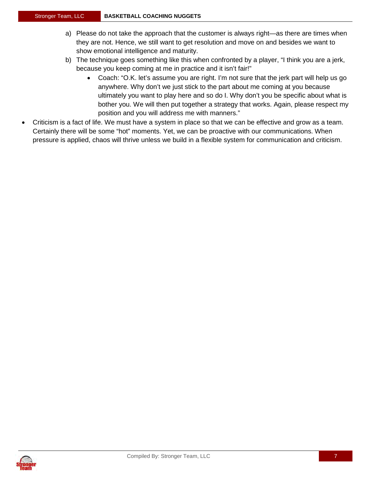- a) Please do not take the approach that the customer is always right—as there are times when they are not. Hence, we still want to get resolution and move on and besides we want to show emotional intelligence and maturity.
- b) The technique goes something like this when confronted by a player, "I think you are a jerk, because you keep coming at me in practice and it isn't fair!"
	- Coach: "O.K. let's assume you are right. I'm not sure that the jerk part will help us go anywhere. Why don't we just stick to the part about me coming at you because ultimately you want to play here and so do I. Why don't you be specific about what is bother you. We will then put together a strategy that works. Again, please respect my position and you will address me with manners."
- Criticism is a fact of life. We must have a system in place so that we can be effective and grow as a team. Certainly there will be some "hot" moments. Yet, we can be proactive with our communications. When pressure is applied, chaos will thrive unless we build in a flexible system for communication and criticism.

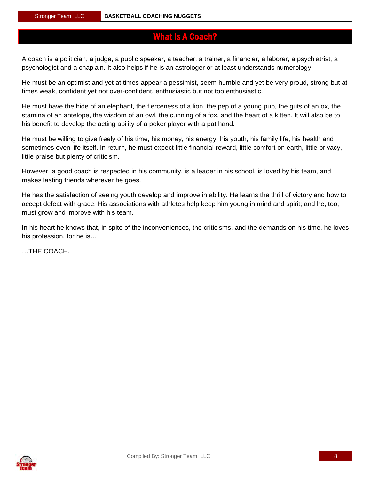# at Is A Coach?

<span id="page-8-0"></span>A coach is a politician, a judge, a public speaker, a teacher, a trainer, a financier, a laborer, a psychiatrist, a psychologist and a chaplain. It also helps if he is an astrologer or at least understands numerology.

He must be an optimist and yet at times appear a pessimist, seem humble and yet be very proud, strong but at times weak, confident yet not over-confident, enthusiastic but not too enthusiastic.

He must have the hide of an elephant, the fierceness of a lion, the pep of a young pup, the guts of an ox, the stamina of an antelope, the wisdom of an owl, the cunning of a fox, and the heart of a kitten. It will also be to his benefit to develop the acting ability of a poker player with a pat hand.

He must be willing to give freely of his time, his money, his energy, his youth, his family life, his health and sometimes even life itself. In return, he must expect little financial reward, little comfort on earth, little privacy, little praise but plenty of criticism.

However, a good coach is respected in his community, is a leader in his school, is loved by his team, and makes lasting friends wherever he goes.

He has the satisfaction of seeing youth develop and improve in ability. He learns the thrill of victory and how to accept defeat with grace. His associations with athletes help keep him young in mind and spirit; and he, too, must grow and improve with his team.

In his heart he knows that, in spite of the inconveniences, the criticisms, and the demands on his time, he loves his profession, for he is…

…THE COACH.

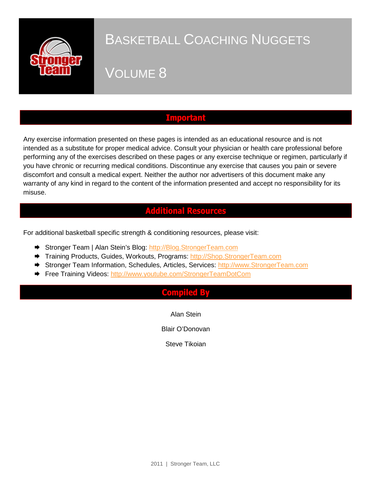

# BASKETBALL COACHING NUGGETS

VOLUME 8

# **Important**

Any exercise information presented on these pages is intended as an educational resource and is not intended as a substitute for proper medical advice. Consult your physician or health care professional before performing any of the exercises described on these pages or any exercise technique or regimen, particularly if you have chronic or recurring medical conditions. Discontinue any exercise that causes you pain or severe discomfort and consult a medical expert. Neither the author nor advertisers of this document make any warranty of any kind in regard to the content of the information presented and accept no responsibility for its misuse.

# **Additional Resources**

For additional basketball specific strength & conditioning resources, please visit:

- ◆ Stronger Team | Alan Stein's Blog: [http://Blog.StrongerTeam.com](http://blog.strongerteam.com/)
- ◆ Training Products, Guides, Workouts, Programs: [http://Shop.StrongerTeam.com](http://shop.strongerteam.com/)
- ♦ Stronger Team Information, Schedules, Articles, Services: [http://www.StrongerTeam.com](http://www.strongerteam.com/)
- ◆ Free Training Videos:<http://www.youtube.com/StrongerTeamDotCom>

# **Com**

Alan Stein

Blair O'Donovan

Steve Tikoian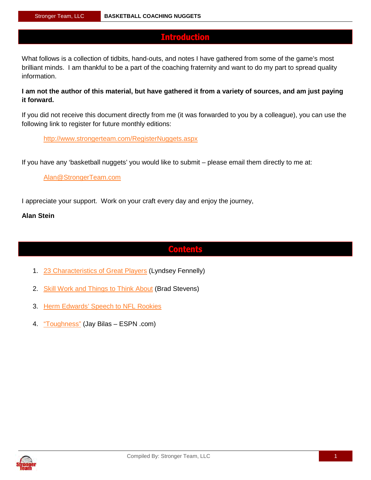# **Introduction**

What follows is a collection of tidbits, hand-outs, and notes I have gathered from some of the game's most brilliant minds. I am thankful to be a part of the coaching fraternity and want to do my part to spread quality information.

## **I am not the author of this material, but have gathered it from a variety of sources, and am just paying it forward.**

If you did not receive this document directly from me (it was forwarded to you by a colleague), you can use the following link to register for future monthly editions:

#### <http://www.strongerteam.com/RegisterNuggets.aspx>

If you have any 'basketball nuggets' you would like to submit – please email them directly to me at:

[Alan@StrongerTeam.com](mailto:Alan@StrongerTeam.com)

I appreciate your support. Work on your craft every day and enjoy the journey,

### **Alan Stein**

# **Contents**

- 1. [23 Characteristics of Great Players](#page-11-0) (Lyndsey Fennelly)
- 2. [Skill Work and Things to Think About](#page-14-0) (Brad Stevens)
- 3. [Herm Edwards' Speech to NFL Rookies](#page-17-0)
- 4. ["Toughness"](#page-19-0) (Jay Bilas ESPN .com)

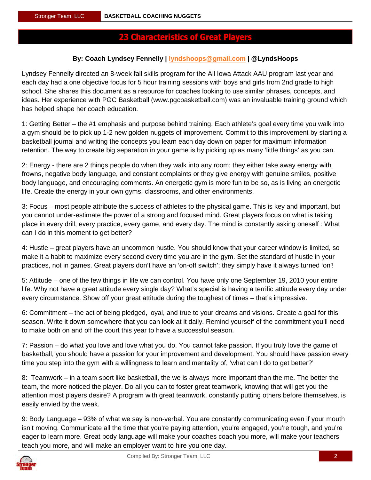# **22 Archaracteristics of Great Play**

## **By: Coach Lyndsey Fennelly | [lyndshoops@gmail.com](mailto:lyndshoops@gmail.com) | @LyndsHoops**

<span id="page-11-0"></span>Lyndsey Fennelly directed an 8-week fall skills program for the All Iowa Attack AAU program last year and each day had a one objective focus for 5 hour training sessions with boys and girls from 2nd grade to high school. She shares this document as a resource for coaches looking to use similar phrases, concepts, and ideas. Her experience with PGC Basketball (www.pgcbasketball.com) was an invaluable training ground which has helped shape her coach education.

1: Getting Better – the #1 emphasis and purpose behind training. Each athlete's goal every time you walk into a gym should be to pick up 1-2 new golden nuggets of improvement. Commit to this improvement by starting a basketball journal and writing the concepts you learn each day down on paper for maximum information retention. The way to create big separation in your game is by picking up as many 'little things' as you can.

2: Energy - there are 2 things people do when they walk into any room: they either take away energy with frowns, negative body language, and constant complaints or they give energy with genuine smiles, positive body language, and encouraging comments. An energetic gym is more fun to be so, as is living an energetic life. Create the energy in your own gyms, classrooms, and other environments.

3: Focus – most people attribute the success of athletes to the physical game. This is key and important, but you cannot under-estimate the power of a strong and focused mind. Great players focus on what is taking place in every drill, every practice, every game, and every day. The mind is constantly asking oneself : What can I do in this moment to get better?

4: Hustle – great players have an uncommon hustle. You should know that your career window is limited, so make it a habit to maximize every second every time you are in the gym. Set the standard of hustle in your practices, not in games. Great players don't have an 'on-off switch'; they simply have it always turned 'on'!

5: Attitude – one of the few things in life we can control. You have only one September 19, 2010 your entire life. Why not have a great attitude every single day? What's special is having a terrific attitude every day under every circumstance. Show off your great attitude during the toughest of times – that's impressive.

6: Commitment – the act of being pledged, loyal, and true to your dreams and visions. Create a goal for this season. Write it down somewhere that you can look at it daily. Remind yourself of the commitment you'll need to make both on and off the court this year to have a successful season.

7: Passion – do what you love and love what you do. You cannot fake passion. If you truly love the game of basketball, you should have a passion for your improvement and development. You should have passion every time you step into the gym with a willingness to learn and mentality of, 'what can I do to get better?'

8: Teamwork – in a team sport like basketball, the we is always more important than the me. The better the team, the more noticed the player. Do all you can to foster great teamwork, knowing that will get you the attention most players desire? A program with great teamwork, constantly putting others before themselves, is easily envied by the weak.

9: Body Language – 93% of what we say is non-verbal. You are constantly communicating even if your mouth isn't moving. Communicate all the time that you're paying attention, you're engaged, you're tough, and you're eager to learn more. Great body language will make your coaches coach you more, will make your teachers teach you more, and will make an employer want to hire you one day.

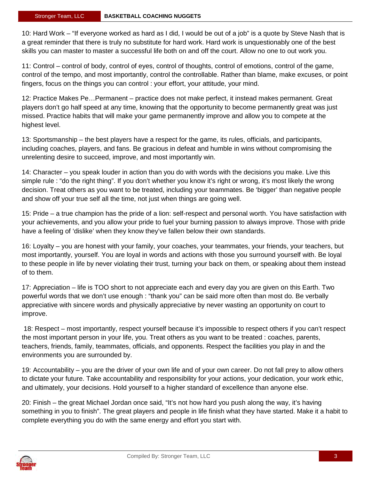10: Hard Work – "If everyone worked as hard as I did, I would be out of a job" is a quote by Steve Nash that is a great reminder that there is truly no substitute for hard work. Hard work is unquestionably one of the best skills you can master to master a successful life both on and off the court. Allow no one to out work you.

11: Control – control of body, control of eyes, control of thoughts, control of emotions, control of the game, control of the tempo, and most importantly, control the controllable. Rather than blame, make excuses, or point fingers, focus on the things you can control : your effort, your attitude, your mind.

12: Practice Makes Pe…Permanent – practice does not make perfect, it instead makes permanent. Great players don't go half speed at any time, knowing that the opportunity to become permanently great was just missed. Practice habits that will make your game permanently improve and allow you to compete at the highest level.

13: Sportsmanship – the best players have a respect for the game, its rules, officials, and participants, including coaches, players, and fans. Be gracious in defeat and humble in wins without compromising the unrelenting desire to succeed, improve, and most importantly win.

14: Character – you speak louder in action than you do with words with the decisions you make. Live this simple rule : "do the right thing". If you don't whether you know it's right or wrong, it's most likely the wrong decision. Treat others as you want to be treated, including your teammates. Be 'bigger' than negative people and show off your true self all the time, not just when things are going well.

15: Pride – a true champion has the pride of a lion: self-respect and personal worth. You have satisfaction with your achievements, and you allow your pride to fuel your burning passion to always improve. Those with pride have a feeling of 'dislike' when they know they've fallen below their own standards.

16: Loyalty – you are honest with your family, your coaches, your teammates, your friends, your teachers, but most importantly, yourself. You are loyal in words and actions with those you surround yourself with. Be loyal to these people in life by never violating their trust, turning your back on them, or speaking about them instead of to them.

17: Appreciation – life is TOO short to not appreciate each and every day you are given on this Earth. Two powerful words that we don't use enough : "thank you" can be said more often than most do. Be verbally appreciative with sincere words and physically appreciative by never wasting an opportunity on court to improve.

18: Respect – most importantly, respect yourself because it's impossible to respect others if you can't respect the most important person in your life, you. Treat others as you want to be treated : coaches, parents, teachers, friends, family, teammates, officials, and opponents. Respect the facilities you play in and the environments you are surrounded by.

19: Accountability – you are the driver of your own life and of your own career. Do not fall prey to allow others to dictate your future. Take accountability and responsibility for your actions, your dedication, your work ethic, and ultimately, your decisions. Hold yourself to a higher standard of excellence than anyone else.

20: Finish – the great Michael Jordan once said, "It's not how hard you push along the way, it's having something in you to finish". The great players and people in life finish what they have started. Make it a habit to complete everything you do with the same energy and effort you start with.

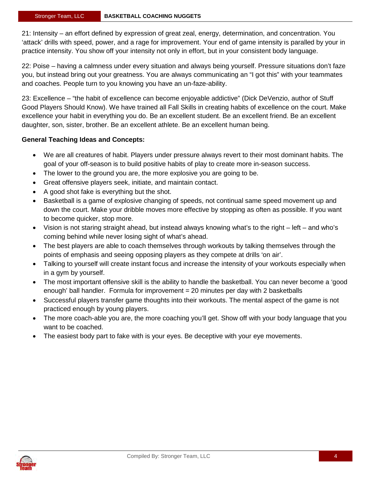21: Intensity – an effort defined by expression of great zeal, energy, determination, and concentration. You 'attack' drills with speed, power, and a rage for improvement. Your end of game intensity is paralled by your in practice intensity. You show off your intensity not only in effort, but in your consistent body language.

22: Poise – having a calmness under every situation and always being yourself. Pressure situations don't faze you, but instead bring out your greatness. You are always communicating an "I got this" with your teammates and coaches. People turn to you knowing you have an un-faze-ability.

23: Excellence – "the habit of excellence can become enjoyable addictive" (Dick DeVenzio, author of Stuff Good Players Should Know). We have trained all Fall Skills in creating habits of excellence on the court. Make excellence your habit in everything you do. Be an excellent student. Be an excellent friend. Be an excellent daughter, son, sister, brother. Be an excellent athlete. Be an excellent human being.

## **General Teaching Ideas and Concepts:**

- We are all creatures of habit. Players under pressure always revert to their most dominant habits. The goal of your off-season is to build positive habits of play to create more in-season success.
- The lower to the ground you are, the more explosive you are going to be.
- Great offensive players seek, initiate, and maintain contact.
- A good shot fake is everything but the shot.
- Basketball is a game of explosive changing of speeds, not continual same speed movement up and down the court. Make your dribble moves more effective by stopping as often as possible. If you want to become quicker, stop more.
- Vision is not staring straight ahead, but instead always knowing what's to the right left and who's coming behind while never losing sight of what's ahead.
- The best players are able to coach themselves through workouts by talking themselves through the points of emphasis and seeing opposing players as they compete at drills 'on air'.
- Talking to yourself will create instant focus and increase the intensity of your workouts especially when in a gym by yourself.
- The most important offensive skill is the ability to handle the basketball. You can never become a 'good enough' ball handler. Formula for improvement = 20 minutes per day with 2 basketballs
- Successful players transfer game thoughts into their workouts. The mental aspect of the game is not practiced enough by young players.
- The more coach-able you are, the more coaching you'll get. Show off with your body language that you want to be coached.
- The easiest body part to fake with is your eyes. Be deceptive with your eye movements.

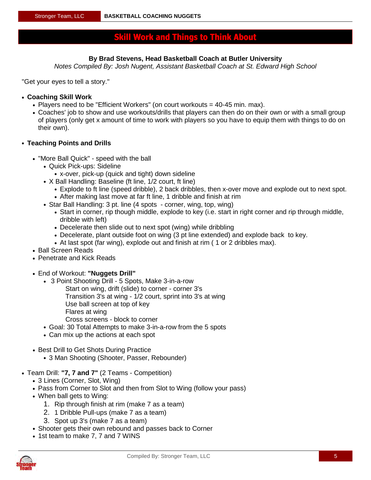# **Skill Work and Things to Think About**

## **By Brad Stevens, Head Basketball Coach at Butler University**

<span id="page-14-0"></span>*Notes Compiled By: Josh Nugent, Assistant Basketball Coach at St. Edward High School*

"Get your eyes to tell a story."

- **Coaching Skill Work**
	- Players need to be "Efficient Workers" (on court workouts = 40-45 min. max).
	- Coaches' job to show and use workouts/drills that players can then do on their own or with a small group of players (only get x amount of time to work with players so you have to equip them with things to do on their own).

## **• Teaching Points and Drills**

- "More Ball Quick" speed with the ball
	- Quick Pick-ups: Sideline
		- x-over, pick-up (quick and tight) down sideline
	- X Ball Handling: Baseline (ft line, 1/2 court, ft line)
		- Explode to ft line (speed dribble), 2 back dribbles, then x-over move and explode out to next spot.
		- After making last move at far ft line, 1 dribble and finish at rim
	- Star Ball Handling: 3 pt. line (4 spots corner, wing, top, wing)
		- Start in corner, rip though middle, explode to key (i.e. start in right corner and rip through middle, dribble with left)
		- Decelerate then slide out to next spot (wing) while dribbling
		- Decelerate, plant outside foot on wing (3 pt line extended) and explode back to key.
		- At last spot (far wing), explode out and finish at rim ( 1 or 2 dribbles max).
- Ball Screen Reads
- Penetrate and Kick Reads
- End of Workout: **"Nuggets Drill"**
	- 3 Point Shooting Drill 5 Spots, Make 3-in-a-row
		- Start on wing, drift (slide) to corner corner 3's
		- Transition 3's at wing 1/2 court, sprint into 3's at wing
		- Use ball screen at top of key
		- Flares at wing
		- Cross screens block to corner
	- Goal: 30 Total Attempts to make 3-in-a-row from the 5 spots
	- Can mix up the actions at each spot
- Best Drill to Get Shots During Practice
	- 3 Man Shooting (Shooter, Passer, Rebounder)
- Team Drill: **"7, 7 and 7"** (2 Teams Competition)
	- 3 Lines (Corner, Slot, Wing)
	- Pass from Corner to Slot and then from Slot to Wing (follow your pass)
	- When ball gets to Wing:
		- 1. Rip through finish at rim (make 7 as a team)
		- 2. 1 Dribble Pull-ups (make 7 as a team)
		- 3. Spot up 3's (make 7 as a team)
	- Shooter gets their own rebound and passes back to Corner
	- 1st team to make 7, 7 and 7 WINS

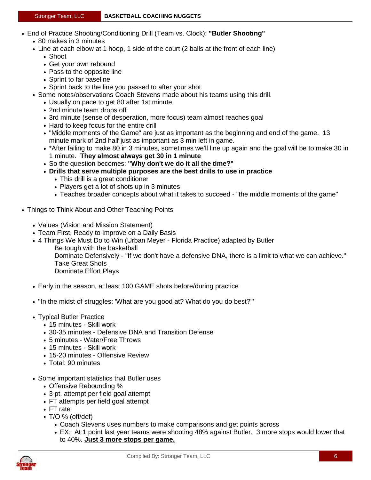- End of Practice Shooting/Conditioning Drill (Team vs. Clock): **"Butler Shooting"**
	- 80 makes in 3 minutes
	- Line at each elbow at 1 hoop, 1 side of the court (2 balls at the front of each line)
		- Shoot
		- Get your own rebound
		- Pass to the opposite line
		- Sprint to far baseline
		- Sprint back to the line you passed to after your shot
	- Some notes/observations Coach Stevens made about his teams using this drill.
		- Usually on pace to get 80 after 1st minute
		- 2nd minute team drops off
		- 3rd minute (sense of desperation, more focus) team almost reaches goal
		- Hard to keep focus for the entire drill
		- "Middle moments of the Game" are just as important as the beginning and end of the game. 13 minute mark of 2nd half just as important as 3 min left in game.
		- \*After failing to make 80 in 3 minutes, sometimes we'll line up again and the goal will be to make 30 in 1 minute. **They almost always get 30 in 1 minute**
		- So the question becomes: **"Why don't we do it all the time?"**
		- **Drills that serve multiple purposes are the best drills to use in practice**
			- This drill is a great conditioner
			- Players get a lot of shots up in 3 minutes
			- Teaches broader concepts about what it takes to succeed "the middle moments of the game"
- Things to Think About and Other Teaching Points
	- Values (Vision and Mission Statement)
	- Team First, Ready to Improve on a Daily Basis
	- 4 Things We Must Do to Win (Urban Meyer Florida Practice) adapted by Butler
		- Be tough with the basketball Dominate Defensively - "If we don't have a defensive DNA, there is a limit to what we can achieve." Take Great Shots Dominate Effort Plays
	- Early in the season, at least 100 GAME shots before/during practice
	- "In the midst of struggles; 'What are you good at? What do you do best?'"
	- Typical Butler Practice
		- 15 minutes Skill work
		- 30-35 minutes Defensive DNA and Transition Defense
		- 5 minutes Water/Free Throws
		- 15 minutes Skill work
		- 15-20 minutes Offensive Review
		- Total: 90 minutes
	- Some important statistics that Butler uses
		- Offensive Rebounding %
		- 3 pt. attempt per field goal attempt
		- FT attempts per field goal attempt
		- FT rate
		- T/O % (off/def)
			- Coach Stevens uses numbers to make comparisons and get points across
			- EX: At 1 point last year teams were shooting 48% against Butler. 3 more stops would lower that to 40%. **Just 3 more stops per game.**

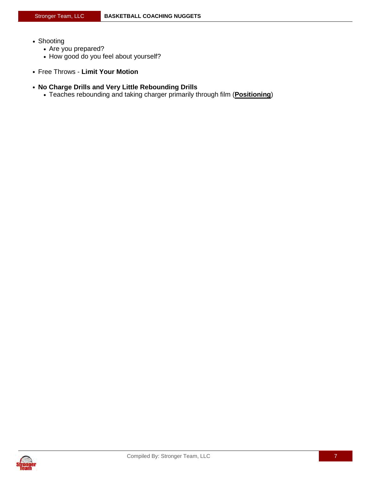- Shooting
	- Are you prepared?
	- How good do you feel about yourself?
- Free Throws **Limit Your Motion**
- **No Charge Drills and Very Little Rebounding Drills** 
	- Teaches rebounding and taking charger primarily through film (**Positioning**)

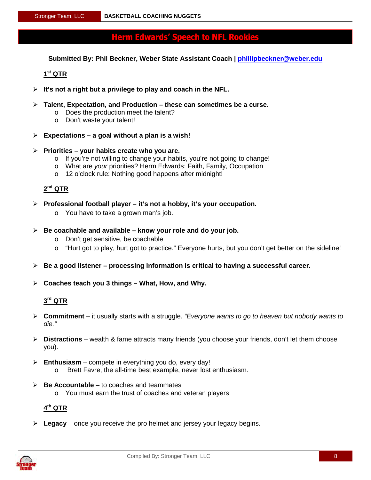# **Herm Edwards' Speech to NFL Rookies**

<span id="page-17-0"></span>**Submitted By: Phil Beckner, Weber State Assistant Coach | [phillipbeckner@weber.edu](mailto:phillipbeckner@weber.edu)**

## **1st QTR**

- **It's not a right but a privilege to play and coach in the NFL.**
- **Talent, Expectation, and Production these can sometimes be a curse.**
	- o Does the production meet the talent?
	- o Don't waste your talent!
- **Expectations a goal without a plan is a wish!**
- **Priorities your habits create who you are.**
	- o If you're not willing to change your habits, you're not going to change!
	- o What are *your* priorities? Herm Edwards: Faith, Family, Occupation
	- o 12 o'clock rule: Nothing good happens after midnight!

## **2nd QTR**

- **Professional football player it's not a hobby, it's your occupation.**
	- o You have to take a grown man's job.
- $\triangleright$  Be coachable and available know your role and do your job.
	- o Don't get sensitive, be coachable
	- o "Hurt got to play, hurt got to practice." Everyone hurts, but you don't get better on the sideline!
- **Be a good listener processing information is critical to having a successful career.**
- **Coaches teach you 3 things What, How, and Why.**

## **3rd QTR**

- **Commitment** it usually starts with a struggle. *"Everyone wants to go to heaven but nobody wants to die."*
- **Distractions**  wealth & fame attracts many friends (you choose your friends, don't let them choose you).
- $\triangleright$  **Enthusiasm** compete in everything you do, every day!
	- o Brett Favre, the all-time best example, never lost enthusiasm.
- **Be Accountable**  to coaches and teammates
	- o You must earn the trust of coaches and veteran players

# **4th QTR**

 $\triangleright$  **Legacy** – once you receive the pro helmet and jersey your legacy begins.

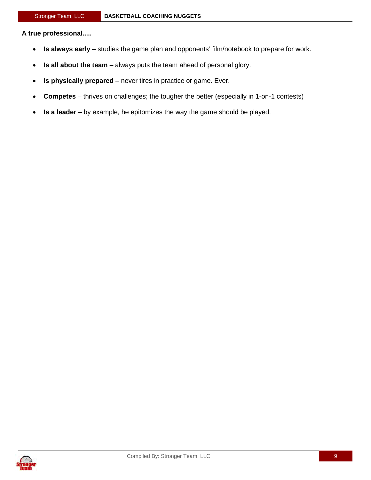**A true professional….**

- **Is always early** studies the game plan and opponents' film/notebook to prepare for work.
- **Is all about the team** always puts the team ahead of personal glory.
- **Is physically prepared**  never tires in practice or game. Ever.
- **Competes**  thrives on challenges; the tougher the better (especially in 1-on-1 contests)
- **Is a leader** by example, he epitomizes the way the game should be played.

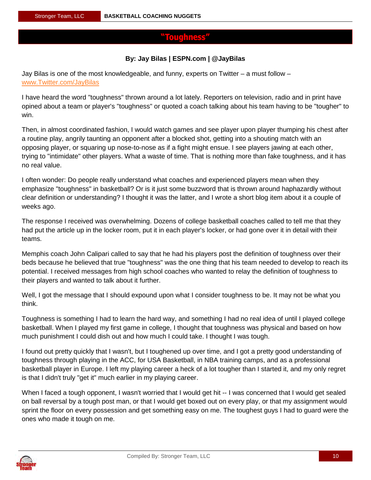# **"Toughness"**

## **By: Jay Bilas | ESPN.com | @JayBilas**

<span id="page-19-0"></span>Jay Bilas is one of the most knowledgeable, and funny, experts on Twitter – a must follow – [www.Twitter.com/JayBilas](http://www.twitter.com/JayBilas)

I have heard the word "toughness" thrown around a lot lately. Reporters on television, radio and in print have opined about a team or player's "toughness" or quoted a coach talking about his team having to be "tougher" to win.

Then, in almost coordinated fashion, I would watch games and see player upon player thumping his chest after a routine play, angrily taunting an opponent after a blocked shot, getting into a shouting match with an opposing player, or squaring up nose-to-nose as if a fight might ensue. I see players jawing at each other, trying to "intimidate" other players. What a waste of time. That is nothing more than fake toughness, and it has no real value.

I often wonder: Do people really understand what coaches and experienced players mean when they emphasize "toughness" in basketball? Or is it just some buzzword that is thrown around haphazardly without clear definition or understanding? I thought it was the latter, and I wrote a short blog item about it a couple of weeks ago.

The response I received was overwhelming. Dozens of college basketball coaches called to tell me that they had put the article up in the locker room, put it in each player's locker, or had gone over it in detail with their teams.

Memphis coach John Calipari called to say that he had his players post the definition of toughness over their beds because he believed that true "toughness" was the one thing that his team needed to develop to reach its potential. I received messages from high school coaches who wanted to relay the definition of toughness to their players and wanted to talk about it further.

Well, I got the message that I should expound upon what I consider toughness to be. It may not be what you think.

Toughness is something I had to learn the hard way, and something I had no real idea of until I played college basketball. When I played my first game in college, I thought that toughness was physical and based on how much punishment I could dish out and how much I could take. I thought I was tough.

I found out pretty quickly that I wasn't, but I toughened up over time, and I got a pretty good understanding of toughness through playing in the ACC, for USA Basketball, in NBA training camps, and as a professional basketball player in Europe. I left my playing career a heck of a lot tougher than I started it, and my only regret is that I didn't truly "get it" much earlier in my playing career.

When I faced a tough opponent, I wasn't worried that I would get hit -- I was concerned that I would get sealed on ball reversal by a tough post man, or that I would get boxed out on every play, or that my assignment would sprint the floor on every possession and get something easy on me. The toughest guys I had to guard were the ones who made it tough on me.

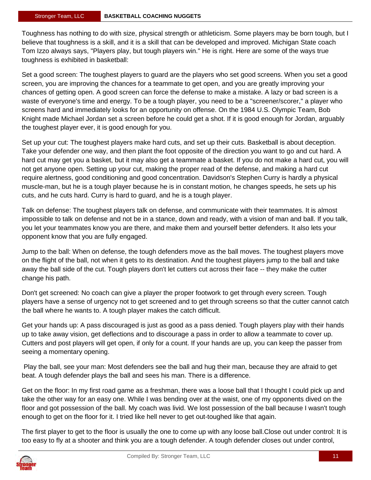Toughness has nothing to do with size, physical strength or athleticism. Some players may be born tough, but I believe that toughness is a skill, and it is a skill that can be developed and improved. Michigan State coach Tom Izzo always says, "Players play, but tough players win." He is right. Here are some of the ways true toughness is exhibited in basketball:

Set a good screen: The toughest players to guard are the players who set good screens. When you set a good screen, you are improving the chances for a teammate to get open, and you are greatly improving your chances of getting open. A good screen can force the defense to make a mistake. A lazy or bad screen is a waste of everyone's time and energy. To be a tough player, you need to be a "screener/scorer," a player who screens hard and immediately looks for an opportunity on offense. On the 1984 U.S. Olympic Team, Bob Knight made Michael Jordan set a screen before he could get a shot. If it is good enough for Jordan, arguably the toughest player ever, it is good enough for you.

Set up your cut: The toughest players make hard cuts, and set up their cuts. Basketball is about deception. Take your defender one way, and then plant the foot opposite of the direction you want to go and cut hard. A hard cut may get you a basket, but it may also get a teammate a basket. If you do not make a hard cut, you will not get anyone open. Setting up your cut, making the proper read of the defense, and making a hard cut require alertness, good conditioning and good concentration. Davidson's Stephen Curry is hardly a physical muscle-man, but he is a tough player because he is in constant motion, he changes speeds, he sets up his cuts, and he cuts hard. Curry is hard to guard, and he is a tough player.

Talk on defense: The toughest players talk on defense, and communicate with their teammates. It is almost impossible to talk on defense and not be in a stance, down and ready, with a vision of man and ball. If you talk, you let your teammates know you are there, and make them and yourself better defenders. It also lets your opponent know that you are fully engaged.

Jump to the ball: When on defense, the tough defenders move as the ball moves. The toughest players move on the flight of the ball, not when it gets to its destination. And the toughest players jump to the ball and take away the ball side of the cut. Tough players don't let cutters cut across their face -- they make the cutter change his path.

Don't get screened: No coach can give a player the proper footwork to get through every screen. Tough players have a sense of urgency not to get screened and to get through screens so that the cutter cannot catch the ball where he wants to. A tough player makes the catch difficult.

Get your hands up: A pass discouraged is just as good as a pass denied. Tough players play with their hands up to take away vision, get deflections and to discourage a pass in order to allow a teammate to cover up. Cutters and post players will get open, if only for a count. If your hands are up, you can keep the passer from seeing a momentary opening.

Play the ball, see your man: Most defenders see the ball and hug their man, because they are afraid to get beat. A tough defender plays the ball and sees his man. There is a difference.

Get on the floor: In my first road game as a freshman, there was a loose ball that I thought I could pick up and take the other way for an easy one. While I was bending over at the waist, one of my opponents dived on the floor and got possession of the ball. My coach was livid. We lost possession of the ball because I wasn't tough enough to get on the floor for it. I tried like hell never to get out-toughed like that again.

The first player to get to the floor is usually the one to come up with any loose ball.Close out under control: It is too easy to fly at a shooter and think you are a tough defender. A tough defender closes out under control,

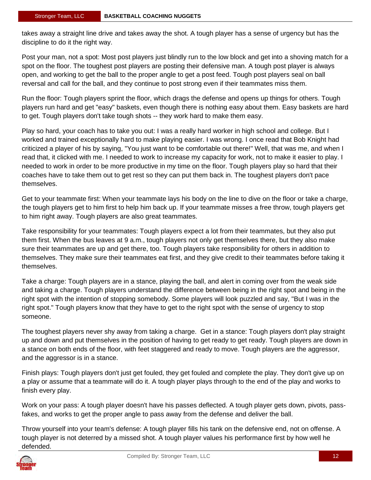takes away a straight line drive and takes away the shot. A tough player has a sense of urgency but has the discipline to do it the right way.

Post your man, not a spot: Most post players just blindly run to the low block and get into a shoving match for a spot on the floor. The toughest post players are posting their defensive man. A tough post player is always open, and working to get the ball to the proper angle to get a post feed. Tough post players seal on ball reversal and call for the ball, and they continue to post strong even if their teammates miss them.

Run the floor: Tough players sprint the floor, which drags the defense and opens up things for others. Tough players run hard and get "easy" baskets, even though there is nothing easy about them. Easy baskets are hard to get. Tough players don't take tough shots -- they work hard to make them easy.

Play so hard, your coach has to take you out: I was a really hard worker in high school and college. But I worked and trained exceptionally hard to make playing easier. I was wrong. I once read that Bob Knight had criticized a player of his by saying, "You just want to be comfortable out there!" Well, that was me, and when I read that, it clicked with me. I needed to work to increase my capacity for work, not to make it easier to play. I needed to work in order to be more productive in my time on the floor. Tough players play so hard that their coaches have to take them out to get rest so they can put them back in. The toughest players don't pace themselves.

Get to your teammate first: When your teammate lays his body on the line to dive on the floor or take a charge, the tough players get to him first to help him back up. If your teammate misses a free throw, tough players get to him right away. Tough players are also great teammates.

Take responsibility for your teammates: Tough players expect a lot from their teammates, but they also put them first. When the bus leaves at 9 a.m., tough players not only get themselves there, but they also make sure their teammates are up and get there, too. Tough players take responsibility for others in addition to themselves. They make sure their teammates eat first, and they give credit to their teammates before taking it themselves.

Take a charge: Tough players are in a stance, playing the ball, and alert in coming over from the weak side and taking a charge. Tough players understand the difference between being in the right spot and being in the right spot with the intention of stopping somebody. Some players will look puzzled and say, "But I was in the right spot." Tough players know that they have to get to the right spot with the sense of urgency to stop someone.

The toughest players never shy away from taking a charge. Get in a stance: Tough players don't play straight up and down and put themselves in the position of having to get ready to get ready. Tough players are down in a stance on both ends of the floor, with feet staggered and ready to move. Tough players are the aggressor, and the aggressor is in a stance.

Finish plays: Tough players don't just get fouled, they get fouled and complete the play. They don't give up on a play or assume that a teammate will do it. A tough player plays through to the end of the play and works to finish every play.

Work on your pass: A tough player doesn't have his passes deflected. A tough player gets down, pivots, passfakes, and works to get the proper angle to pass away from the defense and deliver the ball.

Throw yourself into your team's defense: A tough player fills his tank on the defensive end, not on offense. A tough player is not deterred by a missed shot. A tough player values his performance first by how well he defended.

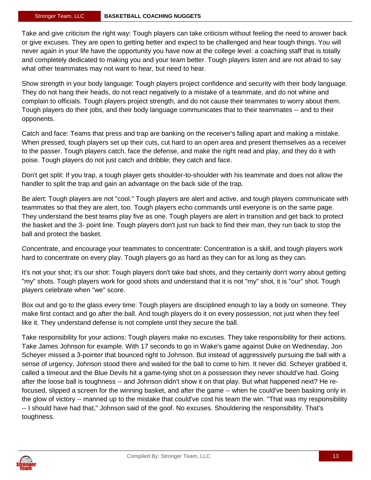Take and give criticism the right way: Tough players can take criticism without feeling the need to answer back or give excuses. They are open to getting better and expect to be challenged and hear tough things. You will never again in your life have the opportunity you have now at the college level: a coaching staff that is totally and completely dedicated to making you and your team better. Tough players listen and are not afraid to say what other teammates may not want to hear, but need to hear.

Show strength in your body language: Tough players project confidence and security with their body language. They do not hang their heads, do not react negatively to a mistake of a teammate, and do not whine and complain to officials. Tough players project strength, and do not cause their teammates to worry about them. Tough players do their jobs, and their body language communicates that to their teammates -- and to their opponents.

Catch and face: Teams that press and trap are banking on the receiver's falling apart and making a mistake. When pressed, tough players set up their cuts, cut hard to an open area and present themselves as a receiver to the passer. Tough players catch, face the defense, and make the right read and play, and they do it with poise. Tough players do not just catch and dribble; they catch and face.

Don't get split: If you trap, a tough player gets shoulder-to-shoulder with his teammate and does not allow the handler to split the trap and gain an advantage on the back side of the trap.

Be alert: Tough players are not "cool." Tough players are alert and active, and tough players communicate with teammates so that they are alert, too. Tough players echo commands until everyone is on the same page. They understand the best teams play five as one. Tough players are alert in transition and get back to protect the basket and the 3- point line. Tough players don't just run back to find their man, they run back to stop the ball and protect the basket.

Concentrate, and encourage your teammates to concentrate: Concentration is a skill, and tough players work hard to concentrate on every play. Tough players go as hard as they can for as long as they can.

It's not your shot; it's our shot: Tough players don't take bad shots, and they certainly don't worry about getting "my" shots. Tough players work for good shots and understand that it is not "my" shot, it is "our" shot. Tough players celebrate when "we" score.

Box out and go to the glass every time: Tough players are disciplined enough to lay a body on someone. They make first contact and go after the ball. And tough players do it on every possession, not just when they feel like it. They understand defense is not complete until they secure the ball.

Take responsibility for your actions: Tough players make no excuses. They take responsibility for their actions. Take James Johnson for example. With 17 seconds to go in Wake's game against Duke on Wednesday, Jon Scheyer missed a 3-pointer that bounced right to Johnson. But instead of aggressively pursuing the ball with a sense of urgency, Johnson stood there and waited for the ball to come to him. It never did. Scheyer grabbed it, called a timeout and the Blue Devils hit a game-tying shot on a possession they never should've had. Going after the loose ball is toughness -- and Johnson didn't show it on that play. But what happened next? He refocused, slipped a screen for the winning basket, and after the game -- when he could've been basking only in the glow of victory -- manned up to the mistake that could've cost his team the win. "That was my responsibility -- I should have had that," Johnson said of the goof. No excuses. Shouldering the responsibility. That's toughness.

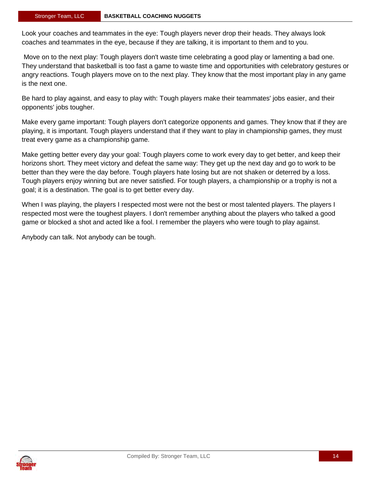Look your coaches and teammates in the eye: Tough players never drop their heads. They always look coaches and teammates in the eye, because if they are talking, it is important to them and to you.

Move on to the next play: Tough players don't waste time celebrating a good play or lamenting a bad one. They understand that basketball is too fast a game to waste time and opportunities with celebratory gestures or angry reactions. Tough players move on to the next play. They know that the most important play in any game is the next one.

Be hard to play against, and easy to play with: Tough players make their teammates' jobs easier, and their opponents' jobs tougher.

Make every game important: Tough players don't categorize opponents and games. They know that if they are playing, it is important. Tough players understand that if they want to play in championship games, they must treat every game as a championship game.

Make getting better every day your goal: Tough players come to work every day to get better, and keep their horizons short. They meet victory and defeat the same way: They get up the next day and go to work to be better than they were the day before. Tough players hate losing but are not shaken or deterred by a loss. Tough players enjoy winning but are never satisfied. For tough players, a championship or a trophy is not a goal; it is a destination. The goal is to get better every day.

When I was playing, the players I respected most were not the best or most talented players. The players I respected most were the toughest players. I don't remember anything about the players who talked a good game or blocked a shot and acted like a fool. I remember the players who were tough to play against.

Anybody can talk. Not anybody can be tough.

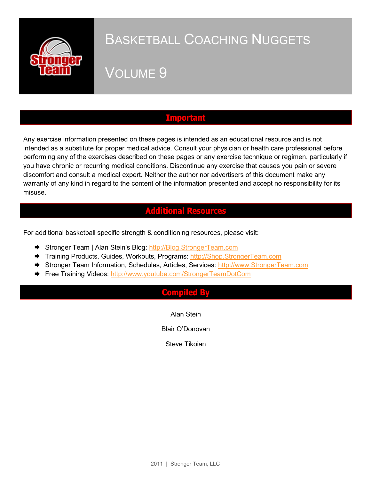

# BASKETBALL COACHING NUGGETS

# VOLUME 9

# **Important**

Any exercise information presented on these pages is intended as an educational resource and is not intended as a substitute for proper medical advice. Consult your physician or health care professional before performing any of the exercises described on these pages or any exercise technique or regimen, particularly if you have chronic or recurring medical conditions. Discontinue any exercise that causes you pain or severe discomfort and consult a medical expert. Neither the author nor advertisers of this document make any warranty of any kind in regard to the content of the information presented and accept no responsibility for its misuse.

# **Additional Resources**

For additional basketball specific strength & conditioning resources, please visit:

- ◆ Stronger Team | Alan Stein's Blog: [http://Blog.StrongerTeam.com](http://blog.strongerteam.com/)
- ◆ Training Products, Guides, Workouts, Programs: [http://Shop.StrongerTeam.com](http://shop.strongerteam.com/)
- ♦ Stronger Team Information, Schedules, Articles, Services: [http://www.StrongerTeam.com](http://www.strongerteam.com/)
- ◆ Free Training Videos:<http://www.youtube.com/StrongerTeamDotCom>

# **Com**

Alan Stein

Blair O'Donovan

Steve Tikoian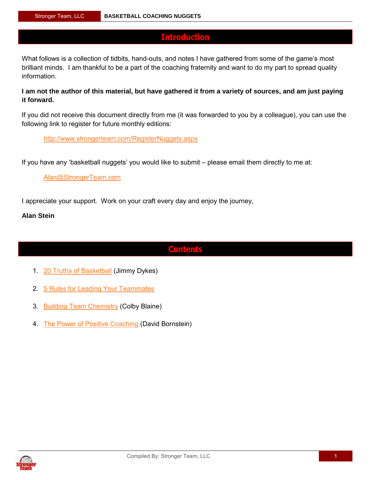# **Introduction**

What follows is a collection of tidbits, hand-outs, and notes I have gathered from some of the game's most brilliant minds. I am thankful to be a part of the coaching fraternity and want to do my part to spread quality information.

## **I am not the author of this material, but have gathered it from a variety of sources, and am just paying it forward.**

If you did not receive this document directly from me (it was forwarded to you by a colleague), you can use the following link to register for future monthly editions:

### <http://www.strongerteam.com/RegisterNuggets.aspx>

If you have any 'basketball nuggets' you would like to submit – please email them directly to me at:

[Alan@StrongerTeam.com](mailto:Alan@StrongerTeam.com)

I appreciate your support. Work on your craft every day and enjoy the journey,

### **Alan Stein**

# **Contents**

- 1. [20 Truths of Basketball](#page-26-0) (Jimmy Dykes)
- 2. [5 Rules for Leading Your Teammates](#page-28-0)
- 3. [Building Team Chemistry](#page-29-0) (Colby Blaine)
- 4. [The Power of Positive Coaching](#page-30-0) (David Bornstein)

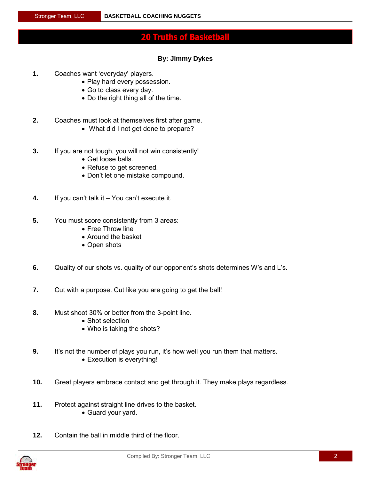# **20 Truths of Basketball**

## **By: Jimmy Dykes**

- <span id="page-26-0"></span>**1.** Coaches want 'everyday' players.
	- Play hard every possession.
	- Go to class every day.
	- Do the right thing all of the time.
- **2.** Coaches must look at themselves first after game.
	- What did I not get done to prepare?
- **3.** If you are not tough, you will not win consistently!
	- Get loose balls.
	- Refuse to get screened.
	- Don't let one mistake compound.
- **4.** If you can't talk it You can't execute it.
- **5.** You must score consistently from 3 areas:
	- Free Throw line
	- Around the basket
	- Open shots
- **6.** Quality of our shots vs. quality of our opponent's shots determines W's and L's.
- **7.** Cut with a purpose. Cut like you are going to get the ball!
- **8.** Must shoot 30% or better from the 3-point line.
	- Shot selection
	- Who is taking the shots?
- **9.** It's not the number of plays you run, it's how well you run them that matters.
	- Execution is everything!
- **10.** Great players embrace contact and get through it. They make plays regardless.
- **11.** Protect against straight line drives to the basket.
	- Guard your yard.
- **12.** Contain the ball in middle third of the floor.

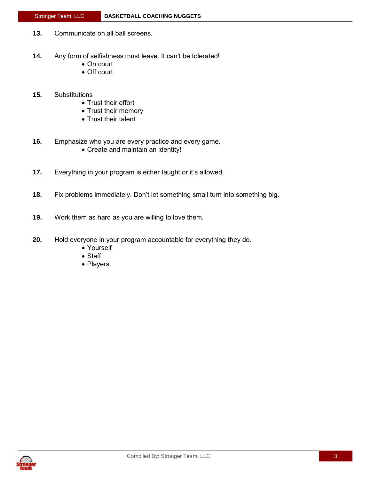- **13.** Communicate on all ball screens.
- **14.** Any form of selfishness must leave. It can't be tolerated!
	- On court
	- Off court

## **15.** Substitutions

- Trust their effort
- Trust their memory
- Trust their talent
- **16.** Emphasize who you are every practice and every game.
	- Create and maintain an identity!
- **17.** Everything in your program is either taught or it's allowed.
- **18.** Fix problems immediately. Don't let something small turn into something big.
- **19.** Work them as hard as you are willing to love them.
- **20.** Hold everyone in your program accountable for everything they do.
	- Yourself
	- Staff
	- Players

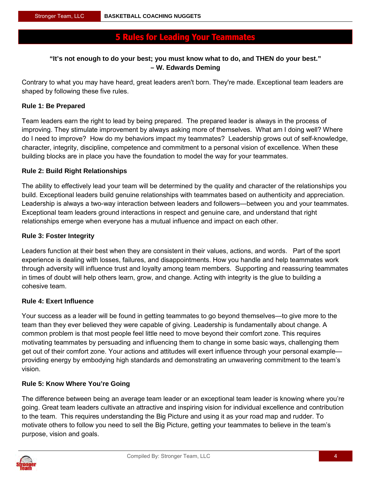# **for Leading Your Teamm**

## <span id="page-28-0"></span>**"It's not enough to do your best; you must know what to do, and THEN do your best." – W. Edwards Deming**

Contrary to what you may have heard, great leaders aren't born. They're made. Exceptional team leaders are shaped by following these five rules.

### **Rule 1: Be Prepared**

Team leaders earn the right to lead by being prepared. The prepared leader is always in the process of improving. They stimulate improvement by always asking more of themselves. What am I doing well? Where do I need to improve? How do my behaviors impact my teammates? Leadership grows out of self-knowledge, character, integrity, discipline, competence and commitment to a personal vision of excellence. When these building blocks are in place you have the foundation to model the way for your teammates.

#### **Rule 2: Build Right Relationships**

The ability to effectively lead your team will be determined by the quality and character of the relationships you build. Exceptional leaders build genuine relationships with teammates based on authenticity and appreciation. Leadership is always a two-way interaction between leaders and followers—between you and your teammates. Exceptional team leaders ground interactions in respect and genuine care, and understand that right relationships emerge when everyone has a mutual influence and impact on each other.

#### **Rule 3: Foster Integrity**

Leaders function at their best when they are consistent in their values, actions, and words. Part of the sport experience is dealing with losses, failures, and disappointments. How you handle and help teammates work through adversity will influence trust and loyalty among team members. Supporting and reassuring teammates in times of doubt will help others learn, grow, and change. Acting with integrity is the glue to building a cohesive team.

#### **Rule 4: Exert Influence**

Your success as a leader will be found in getting teammates to go beyond themselves—to give more to the team than they ever believed they were capable of giving. Leadership is fundamentally about change. A common problem is that most people feel little need to move beyond their comfort zone. This requires motivating teammates by persuading and influencing them to change in some basic ways, challenging them get out of their comfort zone. Your actions and attitudes will exert influence through your personal example providing energy by embodying high standards and demonstrating an unwavering commitment to the team's vision.

## **Rule 5: Know Where You're Going**

The difference between being an average team leader or an exceptional team leader is knowing where you're going. Great team leaders cultivate an attractive and inspiring vision for individual excellence and contribution to the team. This requires understanding the Big Picture and using it as your road map and rudder. To motivate others to follow you need to sell the Big Picture, getting your teammates to believe in the team's purpose, vision and goals.

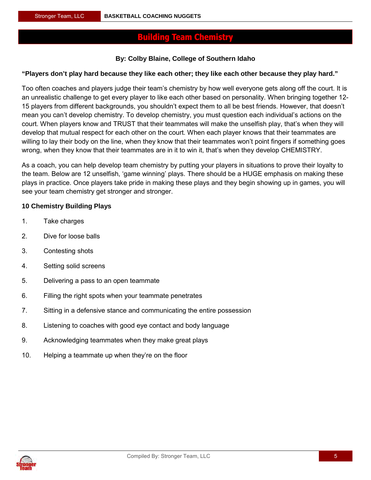# **Building Team Chemistry**

### **By: Colby Blaine, College of Southern Idaho**

#### <span id="page-29-0"></span>**"Players don't play hard because they like each other; they like each other because they play hard."**

Too often coaches and players judge their team's chemistry by how well everyone gets along off the court. It is an unrealistic challenge to get every player to like each other based on personality. When bringing together 12- 15 players from different backgrounds, you shouldn't expect them to all be best friends. However, that doesn't mean you can't develop chemistry. To develop chemistry, you must question each individual's actions on the court. When players know and TRUST that their teammates will make the unselfish play, that's when they will develop that mutual respect for each other on the court. When each player knows that their teammates are willing to lay their body on the line, when they know that their teammates won't point fingers if something goes wrong, when they know that their teammates are in it to win it, that's when they develop CHEMISTRY.

As a coach, you can help develop team chemistry by putting your players in situations to prove their loyalty to the team. Below are 12 unselfish, 'game winning' plays. There should be a HUGE emphasis on making these plays in practice. Once players take pride in making these plays and they begin showing up in games, you will see your team chemistry get stronger and stronger.

### **10 Chemistry Building Plays**

- 1. Take charges
- 2. Dive for loose balls
- 3. Contesting shots
- 4. Setting solid screens
- 5. Delivering a pass to an open teammate
- 6. Filling the right spots when your teammate penetrates
- 7. Sitting in a defensive stance and communicating the entire possession
- 8. Listening to coaches with good eye contact and body language
- 9. Acknowledging teammates when they make great plays
- 10. Helping a teammate up when they're on the floor

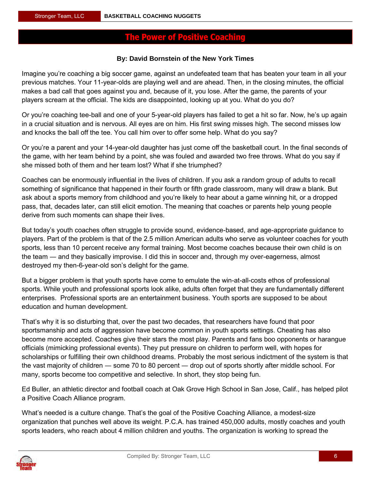# **Power of Positive Coaching**

## **By: David Bornstein of the New York Times**

<span id="page-30-0"></span>Imagine you're coaching a big soccer game, against an undefeated team that has beaten your team in all your previous matches. Your 11-year-olds are playing well and are ahead. Then, in the closing minutes, the official makes a bad call that goes against you and, because of it, you lose. After the game, the parents of your players scream at the official. The kids are disappointed, looking up at you. What do you do?

Or you're coaching tee-ball and one of your 5-year-old players has failed to get a hit so far. Now, he's up again in a crucial situation and is nervous. All eyes are on him. His first swing misses high. The second misses low and knocks the ball off the tee. You call him over to offer some help. What do you say?

Or you're a parent and your 14-year-old daughter has just come off the basketball court. In the final seconds of the game, with her team behind by a point, she was fouled and awarded two free throws. What do you say if she missed both of them and her team lost? What if she triumphed?

Coaches can be enormously influential in the lives of children. If you ask a random group of adults to recall something of significance that happened in their fourth or fifth grade classroom, many will draw a blank. But ask about a sports memory from childhood and you're likely to hear about a game winning hit, or a dropped pass, that, decades later, can still elicit emotion. The meaning that coaches or parents help young people derive from such moments can shape their lives.

But today's youth coaches often struggle to provide sound, evidence-based, and age-appropriate guidance to players. Part of the problem is that of the 2.5 million American adults who serve as volunteer coaches for youth sports, less than 10 percent receive any formal training. Most become coaches because their own child is on the team ― and they basically improvise. I did this in soccer and, through my over-eagerness, almost destroyed my then-6-year-old son's delight for the game.

But a bigger problem is that youth sports have come to emulate the win-at-all-costs ethos of professional sports. While youth and professional sports look alike, adults often forget that they are fundamentally different enterprises. Professional sports are an entertainment business. Youth sports are supposed to be about education and human development.

That's why it is so disturbing that, over the past two decades, that researchers have found that poor sportsmanship and acts of aggression have become common in youth sports settings. Cheating has also become more accepted. Coaches give their stars the most play. Parents and fans boo opponents or harangue officials (mimicking professional events). They put pressure on children to perform well, with hopes for scholarships or fulfilling their own childhood dreams. Probably the most serious indictment of the system is that the vast majority of children ― some 70 to 80 percent ― drop out of sports shortly after middle school. For many, sports become too competitive and selective. In short, they stop being fun.

Ed Buller, an athletic director and football coach at Oak Grove High School in San Jose, Calif., has helped pilot a Positive Coach Alliance program.

What's needed is a culture change. That's the goal of the Positive Coaching Alliance, a modest-size organization that punches well above its weight. P.C.A. has trained 450,000 adults, mostly coaches and youth sports leaders, who reach about 4 million children and youths. The organization is working to spread the

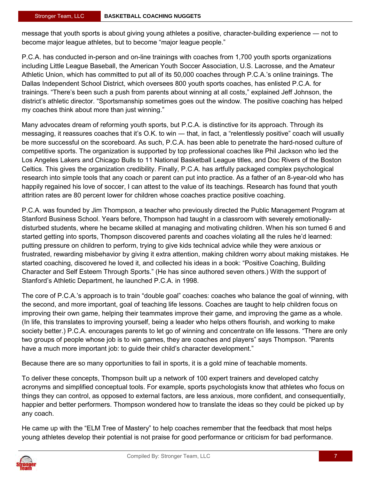message that youth sports is about giving young athletes a positive, character-building experience ― not to become major league athletes, but to become "major league people."

P.C.A. has conducted in-person and on-line trainings with coaches from 1,700 youth sports organizations including Little League Baseball, the American Youth Soccer Association, U.S. Lacrosse, and the Amateur Athletic Union, which has committed to put all of its 50,000 coaches through P.C.A.'s online trainings. The Dallas Independent School District, which oversees 800 youth sports coaches, has enlisted P.C.A. for trainings. "There's been such a push from parents about winning at all costs," explained Jeff Johnson, the district's athletic director. "Sportsmanship sometimes goes out the window. The positive coaching has helped my coaches think about more than just winning."

Many advocates dream of reforming youth sports, but P.C.A. is distinctive for its approach. Through its messaging, it reassures coaches that it's O.K. to win ― that, in fact, a "relentlessly positive" coach will usually be more successful on the scoreboard. As such, P.C.A. has been able to penetrate the hard-nosed culture of competitive sports. The organization is supported by top professional coaches like Phil Jackson who led the Los Angeles Lakers and Chicago Bulls to 11 National Basketball League titles, and Doc Rivers of the Boston Celtics. This gives the organization credibility. Finally, P.C.A. has artfully packaged complex psychological research into simple tools that any coach or parent can put into practice. As a father of an 8-year-old who has happily regained his love of soccer, I can attest to the value of its teachings. Research has found that youth attrition rates are 80 percent lower for children whose coaches practice positive coaching.

P.C.A. was founded by Jim Thompson, a teacher who previously directed the Public Management Program at Stanford Business School. Years before, Thompson had taught in a classroom with severely emotionallydisturbed students, where he became skilled at managing and motivating children. When his son turned 6 and started getting into sports, Thompson discovered parents and coaches violating all the rules he'd learned: putting pressure on children to perform, trying to give kids technical advice while they were anxious or frustrated, rewarding misbehavior by giving it extra attention, making children worry about making mistakes. He started coaching, discovered he loved it, and collected his ideas in a book: "Positive Coaching, Building Character and Self Esteem Through Sports." (He has since authored seven others.) With the support of Stanford's Athletic Department, he launched P.C.A. in 1998.

The core of P.C.A.'s approach is to train "double goal" coaches: coaches who balance the goal of winning, with the second, and more important, goal of teaching life lessons. Coaches are taught to help children focus on improving their own game, helping their teammates improve their game, and improving the game as a whole. (In life, this translates to improving yourself, being a leader who helps others flourish, and working to make society better.) P.C.A. encourages parents to let go of winning and concentrate on life lessons. "There are only two groups of people whose job is to win games, they are coaches and players" says Thompson. "Parents have a much more important job: to guide their child's character development."

Because there are so many opportunities to fail in sports, it is a gold mine of teachable moments.

To deliver these concepts, Thompson built up a network of 100 expert trainers and developed catchy acronyms and simplified conceptual tools. For example, sports psychologists know that athletes who focus on things they can control, as opposed to external factors, are less anxious, more confident, and consequentially, happier and better performers. Thompson wondered how to translate the ideas so they could be picked up by any coach.

He came up with the "ELM Tree of Mastery" to help coaches remember that the feedback that most helps young athletes develop their potential is not praise for good performance or criticism for bad performance.

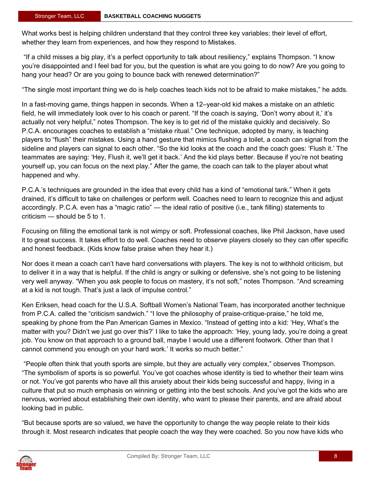What works best is helping children understand that they control three key variables: their level of effort, whether they learn from experiences, and how they respond to Mistakes.

"If a child misses a big play, it's a perfect opportunity to talk about resiliency," explains Thompson. "I know you're disappointed and I feel bad for you, but the question is what are you going to do now? Are you going to hang your head? Or are you going to bounce back with renewed determination?"

"The single most important thing we do is help coaches teach kids not to be afraid to make mistakes," he adds.

In a fast-moving game, things happen in seconds. When a 12–year-old kid makes a mistake on an athletic field, he will immediately look over to his coach or parent. "If the coach is saying, 'Don't worry about it,' it's actually not very helpful," notes Thompson. The key is to get rid of the mistake quickly and decisively. So P.C.A. encourages coaches to establish a "mistake ritual." One technique, adopted by many, is teaching players to "flush" their mistakes. Using a hand gesture that mimics flushing a toilet, a coach can signal from the sideline and players can signal to each other. "So the kid looks at the coach and the coach goes: 'Flush it.' The teammates are saying: 'Hey, Flush it, we'll get it back.' And the kid plays better. Because if you're not beating yourself up, you can focus on the next play." After the game, the coach can talk to the player about what happened and why.

P.C.A.'s techniques are grounded in the idea that every child has a kind of "emotional tank." When it gets drained, it's difficult to take on challenges or perform well. Coaches need to learn to recognize this and adjust accordingly. P.C.A. even has a "magic ratio" ― the ideal ratio of positive (i.e., tank filling) statements to criticism ― should be 5 to 1.

Focusing on filling the emotional tank is not wimpy or soft. Professional coaches, like Phil Jackson, have used it to great success. It takes effort to do well. Coaches need to observe players closely so they can offer specific and honest feedback. (Kids know false praise when they hear it.)

Nor does it mean a coach can't have hard conversations with players. The key is not to withhold criticism, but to deliver it in a way that is helpful. If the child is angry or sulking or defensive, she's not going to be listening very well anyway. "When you ask people to focus on mastery, it's not soft," notes Thompson. "And screaming at a kid is not tough. That's just a lack of impulse control."

Ken Eriksen, head coach for the U.S.A. Softball Women's National Team, has incorporated another technique from P.C.A. called the "criticism sandwich." "I love the philosophy of praise-critique-praise," he told me, speaking by phone from the Pan American Games in Mexico. "Instead of getting into a kid: 'Hey, What's the matter with you? Didn't we just go over this?' I like to take the approach: 'Hey, young lady, you're doing a great job. You know on that approach to a ground ball, maybe I would use a different footwork. Other than that I cannot commend you enough on your hard work.' It works so much better."

"People often think that youth sports are simple, but they are actually very complex," observes Thompson. "The symbolism of sports is so powerful. You've got coaches whose identity is tied to whether their team wins or not. You've got parents who have all this anxiety about their kids being successful and happy, living in a culture that put so much emphasis on winning or getting into the best schools. And you've got the kids who are nervous, worried about establishing their own identity, who want to please their parents, and are afraid about looking bad in public.

"But because sports are so valued, we have the opportunity to change the way people relate to their kids through it. Most research indicates that people coach the way they were coached. So you now have kids who

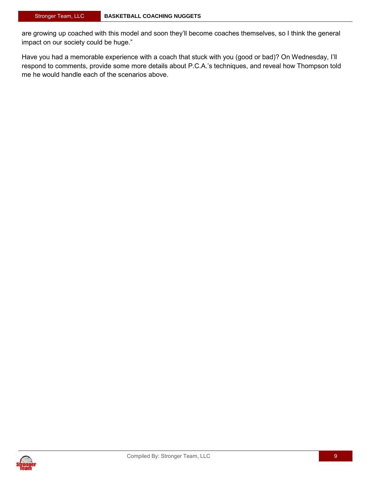are growing up coached with this model and soon they'll become coaches themselves, so I think the general impact on our society could be huge."

Have you had a memorable experience with a coach that stuck with you (good or bad)? On Wednesday, I'll respond to comments, provide some more details about P.C.A.'s techniques, and reveal how Thompson told me he would handle each of the scenarios above.

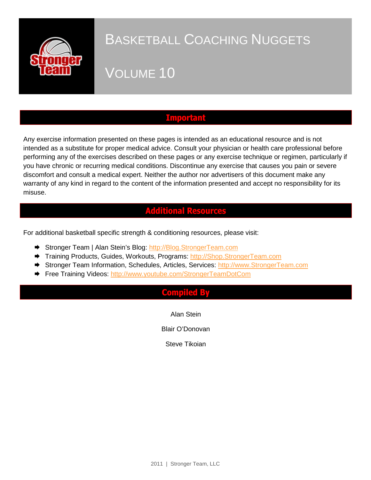

# BASKETBALL COACHING NUGGETS

# VOLUME 10

# **Important**

Any exercise information presented on these pages is intended as an educational resource and is not intended as a substitute for proper medical advice. Consult your physician or health care professional before performing any of the exercises described on these pages or any exercise technique or regimen, particularly if you have chronic or recurring medical conditions. Discontinue any exercise that causes you pain or severe discomfort and consult a medical expert. Neither the author nor advertisers of this document make any warranty of any kind in regard to the content of the information presented and accept no responsibility for its misuse.

# **Additional Resources**

For additional basketball specific strength & conditioning resources, please visit:

- ◆ Stronger Team | Alan Stein's Blog: [http://Blog.StrongerTeam.com](http://blog.strongerteam.com/)
- ◆ Training Products, Guides, Workouts, Programs: [http://Shop.StrongerTeam.com](http://shop.strongerteam.com/)
- ♦ Stronger Team Information, Schedules, Articles, Services: [http://www.StrongerTeam.com](http://www.strongerteam.com/)
- ◆ Free Training Videos:<http://www.youtube.com/StrongerTeamDotCom>

# **Com**

Alan Stein

Blair O'Donovan

Steve Tikoian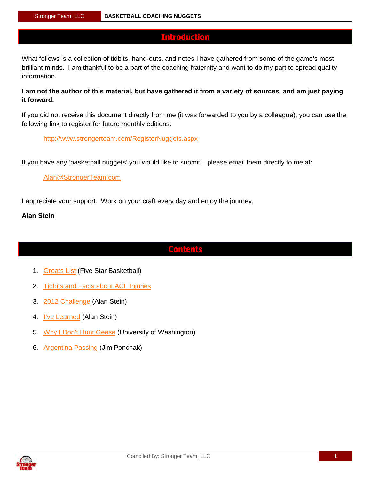# **Introduction**

What follows is a collection of tidbits, hand-outs, and notes I have gathered from some of the game's most brilliant minds. I am thankful to be a part of the coaching fraternity and want to do my part to spread quality information.

## **I am not the author of this material, but have gathered it from a variety of sources, and am just paying it forward.**

If you did not receive this document directly from me (it was forwarded to you by a colleague), you can use the following link to register for future monthly editions:

#### <http://www.strongerteam.com/RegisterNuggets.aspx>

If you have any 'basketball nuggets' you would like to submit – please email them directly to me at:

#### [Alan@StrongerTeam.com](mailto:Alan@StrongerTeam.com)

I appreciate your support. Work on your craft every day and enjoy the journey,

## **Alan Stein**

# **Contents**

- 1. [Greats List](#page-36-0) (Five Star Basketball)
- 2. [Tidbits and Facts about ACL Injuries](#page-39-0)
- 3. [2012 Challenge](#page-40-0) (Alan Stein)
- 4. [I've Learned](#page-41-0) (Alan Stein)
- 5. [Why I Don't Hunt Geese](#page-43-0) (University of Washington)
- 6. [Argentina Passing](#page-44-0) (Jim Ponchak)

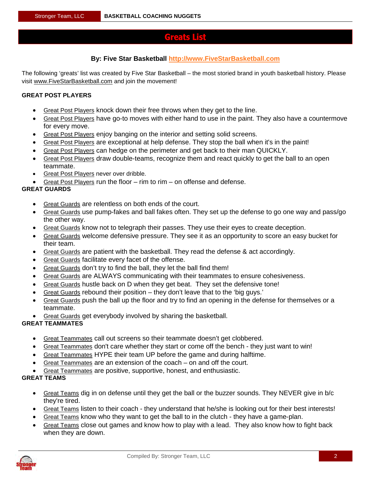# **Greats List**

## **By: Five Star Basketball [http://www.FiveStarBasketball.com](http://www.fivestarbasketball.com/)**

<span id="page-36-0"></span>The following 'greats' list was created by Five Star Basketball – the most storied brand in youth basketball history. Please visit [www.FiveStarBasketball.com](http://www.fivestarbasketball.com/) and join the movement!

### **GREAT POST PLAYERS**

- [Great Post Players](http://hootsuite.com/dashboard) knock down their free throws when they get to the line.
- [Great Post Players](http://hootsuite.com/dashboard) have go-to moves with either hand to use in the paint. They also have a countermove for every move.
- [Great Post Players](http://hootsuite.com/dashboard) enjoy banging on the interior and setting solid screens.
- [Great Post Players](http://hootsuite.com/dashboard) are exceptional at help defense. They stop the ball when it's in the paint!
- [Great Post Players](http://hootsuite.com/dashboard) can hedge on the perimeter and get back to their man QUICKLY.
- [Great Post Players](http://hootsuite.com/dashboard) draw double-teams, recognize them and react quickly to get the ball to an open teammate.
- [Great Post Players](http://hootsuite.com/dashboard) never over dribble.
- [Great Post Players](http://hootsuite.com/dashboard) run the floor rim to rim on offense and defense.

### **GREAT GUARDS**

- [Great Guards](http://hootsuite.com/dashboard) are relentless on both ends of the court.
- [Great Guards](http://hootsuite.com/dashboard) use pump-fakes and ball fakes often. They set up the defense to go one way and pass/go the other way.
- [Great Guards](http://hootsuite.com/dashboard) know not to telegraph their passes. They use their eyes to create deception.
- [Great Guards](http://hootsuite.com/dashboard) welcome defensive pressure. They see it as an opportunity to score an easy bucket for their team.
- [Great Guards](http://hootsuite.com/dashboard) are patient with the basketball. They read the defense & act accordingly.
- [Great Guards](http://hootsuite.com/dashboard) facilitate every facet of the offense.
- [Great Guards](http://hootsuite.com/dashboard) don't try to find the ball, they let the ball find them!
- [Great Guards](http://hootsuite.com/dashboard) are ALWAYS communicating with their teammates to ensure cohesiveness.
- [Great Guards](http://hootsuite.com/dashboard) hustle back on D when they get beat. They set the defensive tone!
- [Great Guards](http://hootsuite.com/dashboard) rebound their position they don't leave that to the 'big guys.'
- [Great Guards](http://hootsuite.com/dashboard) push the ball up the floor and try to find an opening in the defense for themselves or a teammate.
- [Great Guards](http://hootsuite.com/dashboard) get everybody involved by sharing the basketball.

## **GREAT TEAMMATES**

- [Great Teammates](http://hootsuite.com/dashboard) call out screens so their teammate doesn't get clobbered.
- [Great Teammates](http://hootsuite.com/dashboard) don't care whether they start or come off the bench they just want to win!
- [Great Teammates](http://hootsuite.com/dashboard) HYPE their team UP before the game and during halftime.
- [Great Teammates](http://hootsuite.com/dashboard) are an extension of the coach on and off the court.
- [Great Teammates](http://hootsuite.com/dashboard) are positive, supportive, honest, and enthusiastic.

## **GREAT TEAMS**

- [Great Teams](http://hootsuite.com/dashboard) dig in on defense until they get the ball or the buzzer sounds. They NEVER give in b/c they're tired.
- [Great Teams](http://hootsuite.com/dashboard) listen to their coach they understand that he/she is looking out for their best interests!
- [Great Teams](http://hootsuite.com/dashboard) know who they want to get the ball to in the clutch they have a game-plan.
- [Great Teams](http://hootsuite.com/dashboard) close out games and know how to play with a lead. They also know how to fight back when they are down.

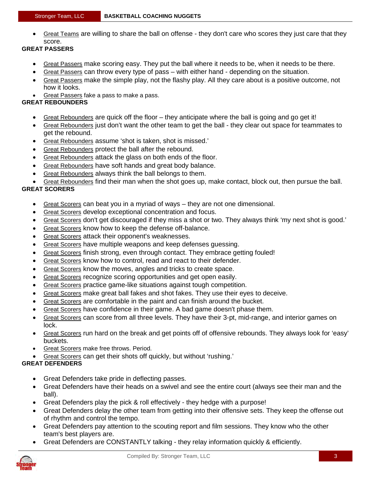• [Great Teams](http://hootsuite.com/dashboard) are willing to share the ball on offense - they don't care who scores they just care that they score.

#### **GREAT PASSERS**

- [Great Passers](http://hootsuite.com/dashboard) make scoring easy. They put the ball where it needs to be, when it needs to be there.
- [Great Passers](http://hootsuite.com/dashboard) can throw every type of pass with either hand depending on the situation.
- [Great Passers](http://hootsuite.com/dashboard) make the simple play, not the flashy play. All they care about is a positive outcome, not how it looks.
- [Great Passers](http://hootsuite.com/dashboard) fake a pass to make a pass.

### **GREAT REBOUNDERS**

- [Great Rebounders](http://hootsuite.com/dashboard) are quick off the floor they anticipate where the ball is going and go get it!
- [Great Rebounders](http://hootsuite.com/dashboard) just don't want the other team to get the ball they clear out space for teammates to get the rebound.
- [Great Rebounders](http://hootsuite.com/dashboard) assume 'shot is taken, shot is missed.'
- [Great Rebounders](http://hootsuite.com/dashboard) protect the ball after the rebound.
- [Great Rebounders](http://hootsuite.com/dashboard) attack the glass on both ends of the floor.
- [Great Rebounders](http://hootsuite.com/dashboard) have soft hands and great body balance.
- [Great Rebounders](http://hootsuite.com/dashboard) always think the ball belongs to them.

• [Great Rebounders](http://hootsuite.com/dashboard) find their man when the shot goes up, make contact, block out, then pursue the ball.

#### **GREAT SCORERS**

- [Great Scorers](http://hootsuite.com/dashboard) can beat you in a myriad of ways they are not one dimensional.
- [Great Scorers](http://hootsuite.com/dashboard) develop exceptional concentration and focus.
- [Great Scorers](http://hootsuite.com/dashboard) don't get discouraged if they miss a shot or two. They always think 'my next shot is good.'
- [Great Scorers](http://hootsuite.com/dashboard) know how to keep the defense off-balance.
- [Great Scorers](http://hootsuite.com/dashboard) attack their opponent's weaknesses.
- [Great Scorers](http://hootsuite.com/dashboard) have multiple weapons and keep defenses guessing.
- [Great Scorers](http://hootsuite.com/dashboard) finish strong, even through contact. They embrace getting fouled!
- [Great Scorers](http://hootsuite.com/dashboard) know how to control, read and react to their defender.
- [Great Scorers](http://hootsuite.com/dashboard) know the moves, angles and tricks to create space.
- [Great Scorers](http://hootsuite.com/dashboard) recognize scoring opportunities and get open easily.
- [Great Scorers](http://hootsuite.com/dashboard) practice game-like situations against tough competition.
- [Great Scorers](http://hootsuite.com/dashboard) make great ball fakes and shot fakes. They use their eyes to deceive.
- [Great Scorers](http://hootsuite.com/dashboard) are comfortable in the paint and can finish around the bucket.
- [Great Scorers](http://hootsuite.com/dashboard) have confidence in their game. A bad game doesn't phase them.
- [Great Scorers](http://hootsuite.com/dashboard) can score from all three levels. They have their 3-pt, mid-range, and interior games on lock.
- [Great Scorers](http://hootsuite.com/dashboard) run hard on the break and get points off of offensive rebounds. They always look for 'easy' buckets.
- [Great Scorers](http://hootsuite.com/dashboard) make free throws. Period.
- [Great Scorers](http://hootsuite.com/dashboard) can get their shots off quickly, but without 'rushing.'

### **GREAT DEFENDERS**

- Great Defenders take pride in deflecting passes.
- Great Defenders have their heads on a swivel and see the entire court (always see their man and the ball).
- Great Defenders play the pick & roll effectively they hedge with a purpose!
- Great Defenders delay the other team from getting into their offensive sets. They keep the offense out of rhythm and control the tempo.
- Great Defenders pay attention to the scouting report and film sessions. They know who the other team's best players are.
- Great Defenders are CONSTANTLY talking they relay information quickly & efficiently.

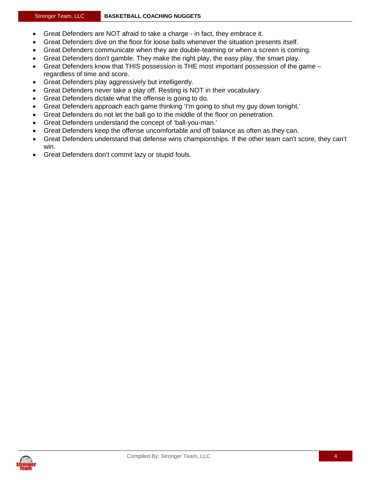- Great Defenders are NOT afraid to take a charge in fact, they embrace it.
- Great Defenders dive on the floor for loose balls whenever the situation presents itself.
- Great Defenders communicate when they are double-teaming or when a screen is coming.
- Great Defenders don't gamble. They make the right play, the easy play, the smart play.
- Great Defenders know that THIS possession is THE most important possession of the game regardless of time and score.
- Great Defenders play aggressively but intelligently.
- Great Defenders never take a play off. Resting is NOT in their vocabulary.
- Great Defenders dictate what the offense is going to do.
- Great Defenders approach each game thinking 'I'm going to shut my guy down tonight.'
- Great Defenders do not let the ball go to the middle of the floor on penetration.
- Great Defenders understand the concept of 'ball-you-man.'
- Great Defenders keep the offense uncomfortable and off balance as often as they can.
- Great Defenders understand that defense wins championships. If the other team can't score, they can't win.
- Great Defenders don't commit lazy or stupid fouls.

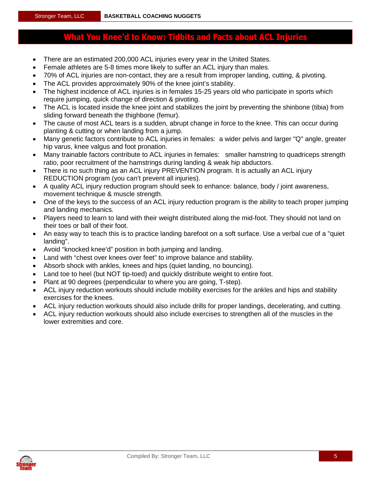# **You Knee'd to Know: Tidbits and Facts about ACL Injuries**

- <span id="page-39-0"></span>• There are an estimated 200,000 ACL injuries every year in the United States.
- Female athletes are 5-8 times more likely to suffer an ACL injury than males.
- 70% of ACL injuries are non-contact, they are a result from improper landing, cutting, & pivoting.
- The ACL provides approximately 90% of the knee joint's stability.
- The highest incidence of ACL injuries is in females 15-25 years old who participate in sports which require jumping, quick change of direction & pivoting.
- The ACL is located inside the knee joint and stabilizes the joint by preventing the shinbone (tibia) from sliding forward beneath the thighbone (femur).
- The cause of most ACL tears is a sudden, abrupt change in force to the knee. This can occur during planting & cutting or when landing from a jump.
- Many genetic factors contribute to ACL injuries in females: a wider pelvis and larger "Q" angle, greater hip varus, knee valgus and foot pronation.
- Many trainable factors contribute to ACL injuries in females: smaller hamstring to quadriceps strength ratio, poor recruitment of the hamstrings during landing & weak hip abductors.
- There is no such thing as an ACL injury PREVENTION program. It is actually an ACL injury REDUCTION program (you can't prevent all injuries).
- A quality ACL injury reduction program should seek to enhance: balance, body / joint awareness, movement technique & muscle strength.
- One of the keys to the success of an ACL injury reduction program is the ability to teach proper jumping and landing mechanics.
- Players need to learn to land with their weight distributed along the mid-foot. They should not land on their toes or ball of their foot.
- An easy way to teach this is to practice landing barefoot on a soft surface. Use a verbal cue of a "quiet" landing".
- Avoid "knocked knee'd" position in both jumping and landing.
- Land with "chest over knees over feet" to improve balance and stability.
- Absorb shock with ankles, knees and hips (quiet landing, no bouncing).
- Land toe to heel (but NOT tip-toed) and quickly distribute weight to entire foot.
- Plant at 90 degrees (perpendicular to where you are going, T-step).
- ACL injury reduction workouts should include mobility exercises for the ankles and hips and stability exercises for the knees.
- ACL injury reduction workouts should also include drills for proper landings, decelerating, and cutting.
- ACL injury reduction workouts should also include exercises to strengthen all of the muscles in the lower extremities and core.

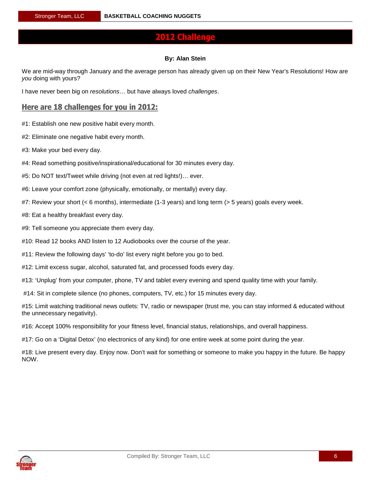# **2012 Challenge**

#### **By: Alan Stein**

<span id="page-40-0"></span>We are mid-way through January and the average person has already given up on their New Year's Resolutions! How are *you* doing with yours?

I have never been big on *resolutions*… but have always loved *challenges*.

## **Here are 18 challenges for you in 2012:**

- #1: Establish one new positive habit every month.
- #2: Eliminate one negative habit every month.
- #3: Make your bed every day.
- #4: Read something positive/inspirational/educational for 30 minutes every day.
- #5: Do NOT text/Tweet while driving (not even at red lights!)… ever.
- #6: Leave your comfort zone (physically, emotionally, or mentally) every day.
- #7: Review your short (< 6 months), intermediate (1-3 years) and long term (> 5 years) goals every week.
- #8: Eat a healthy breakfast every day.
- #9: Tell someone you appreciate them every day.
- #10: Read 12 books AND listen to 12 Audiobooks over the course of the year.
- #11: Review the following days' 'to-do' list every night before you go to bed.
- #12: Limit excess sugar, alcohol, saturated fat, and processed foods every day.
- #13: 'Unplug' from your computer, phone, TV and tablet every evening and spend quality time with your family.
- #14: Sit in complete silence (no phones, computers, TV, etc.) for 15 minutes every day.

#15: Limit watching traditional news outlets: TV, radio or newspaper (trust me, you can stay informed & educated without the unnecessary negativity).

- #16: Accept 100% responsibility for your fitness level, financial status, relationships, and overall happiness.
- #17: Go on a 'Digital Detox' (no electronics of any kind) for one entire week at some point during the year.

#18: Live present every day. Enjoy now. Don't wait for something or someone to make you happy in the future. Be happy NOW.

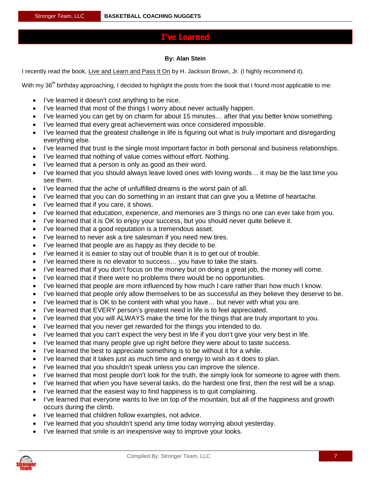# **I've Learned**

#### **By: Alan Stein**

<span id="page-41-0"></span>I recently read the book, Live and Learn and Pass It On by H. Jackson Brown, Jr. (I highly recommend it).

With my 36<sup>th</sup> birthday approaching, I decided to highlight the posts from the book that I found most applicable to me:

- I've learned it doesn't cost anything to be nice.
- I've learned that most of the things I worry about never actually happen.
- I've learned you can get by on charm for about 15 minutes... after that you better know something.
- I've learned that every great achievement was once considered impossible.
- I've learned that the greatest challenge in life is figuring out what is truly important and disregarding everything else.
- I've learned that trust is the single most important factor in both personal and business relationships.
- I've learned that nothing of value comes without effort. Nothing.
- I've learned that a person is only as good as their word.
- I've learned that you should always leave loved ones with loving words... it may be the last time you see them.
- I've learned that the ache of unfulfilled dreams is the worst pain of all.
- I've learned that you can do something in an instant that can give you a lifetime of heartache.
- I've learned that if you care, it shows.
- I've learned that education, experience, and memories are 3 things no one can ever take from you.
- I've learned that it is OK to enjoy your success, but you should never quite believe it.
- I've learned that a good reputation is a tremendous asset.
- I've learned to never ask a tire salesman if you need new tires.
- I've learned that people are as happy as they decide to be.
- I've learned it is easier to stay out of trouble than it is to get out of trouble.
- I've learned there is no elevator to success... you have to take the stairs.
- I've learned that if you don't focus on the money but on doing a great job, the money will come.
- I've learned that if there were no problems there would be no opportunities.
- I've learned that people are more influenced by how much I care rather than how much I know.
- I've learned that people only allow themselves to be as successful as they believe they deserve to be.
- I've learned that is OK to be content with what you have... but never with what you are.
- I've learned that EVERY person's greatest need in life is to feel appreciated.
- I've learned that you will ALWAYS make the time for the things that are truly important to you.
- I've learned that you never get rewarded for the things you intended to do.
- I've learned that you can't expect the very best in life if you don't give your very best in life.
- I've learned that many people give up right before they were about to taste success.
- I've learned the best to appreciate something is to be without it for a while.
- I've learned that it takes just as much time and energy to wish as it does to plan.
- I've learned that you shouldn't speak unless you can improve the silence.
- I've learned that most people don't look for the truth, the simply look for someone to agree with them.
- I've learned that when you have several tasks, do the hardest one first, then the rest will be a snap.
- I've learned that the easiest way to find happiness is to quit complaining.
- I've learned that everyone wants to live on top of the mountain, but all of the happiness and growth occurs during the climb.
- I've learned that children follow examples, not advice.
- I've learned that you shouldn't spend any time today worrying about yesterday.
- I've learned that smile is an inexpensive way to improve your looks.

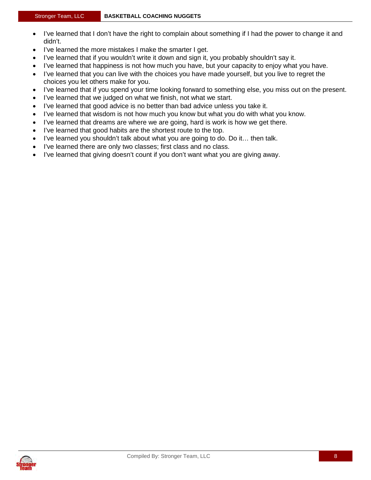- I've learned that I don't have the right to complain about something if I had the power to change it and didn't.
- I've learned the more mistakes I make the smarter I get.
- I've learned that if you wouldn't write it down and sign it, you probably shouldn't say it.
- I've learned that happiness is not how much you have, but your capacity to enjoy what you have.
- I've learned that you can live with the choices you have made yourself, but you live to regret the choices you let others make for you.
- I've learned that if you spend your time looking forward to something else, you miss out on the present.
- I've learned that we judged on what we finish, not what we start.
- I've learned that good advice is no better than bad advice unless you take it.
- I've learned that wisdom is not how much you know but what you do with what you know.
- I've learned that dreams are where we are going, hard is work is how we get there.
- I've learned that good habits are the shortest route to the top.
- I've learned you shouldn't talk about what you are going to do. Do it… then talk.
- I've learned there are only two classes; first class and no class.
- I've learned that giving doesn't count if you don't want what you are giving away.

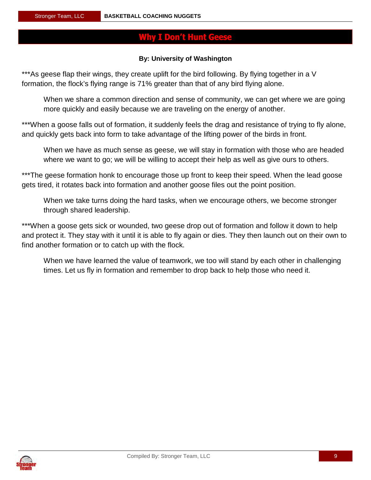# **Why I Don't Hunt Geese**

## **By: University of Washington**

<span id="page-43-0"></span>\*\*\*As geese flap their wings, they create uplift for the bird following. By flying together in a V formation, the flock's flying range is 71% greater than that of any bird flying alone.

When we share a common direction and sense of community, we can get where we are going more quickly and easily because we are traveling on the energy of another.

\*\*\*When a goose falls out of formation, it suddenly feels the drag and resistance of trying to fly alone, and quickly gets back into form to take advantage of the lifting power of the birds in front.

When we have as much sense as geese, we will stay in formation with those who are headed where we want to go; we will be willing to accept their help as well as give ours to others.

\*\*\*The geese formation honk to encourage those up front to keep their speed. When the lead goose gets tired, it rotates back into formation and another goose files out the point position.

When we take turns doing the hard tasks, when we encourage others, we become stronger through shared leadership.

\*\*\*When a goose gets sick or wounded, two geese drop out of formation and follow it down to help and protect it. They stay with it until it is able to fly again or dies. They then launch out on their own to find another formation or to catch up with the flock.

When we have learned the value of teamwork, we too will stand by each other in challenging times. Let us fly in formation and remember to drop back to help those who need it.

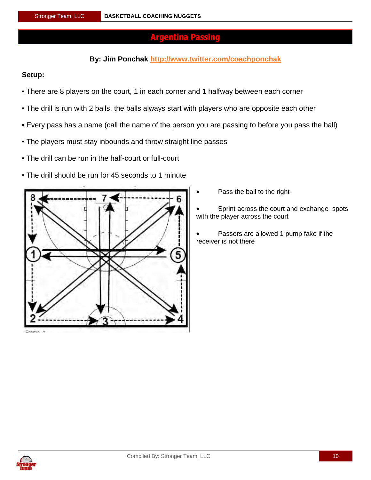# **Argentina Passing**

# **By: Jim Ponchak <http://www.twitter.com/coachponchak>**

# <span id="page-44-0"></span>**Setup:**

- There are 8 players on the court, 1 in each corner and 1 halfway between each corner
- The drill is run with 2 balls, the balls always start with players who are opposite each other
- Every pass has a name (call the name of the person you are passing to before you pass the ball)
- The players must stay inbounds and throw straight line passes
- The drill can be run in the half-court or full-court
- The drill should be run for 45 seconds to 1 minute



- Pass the ball to the right
- Sprint across the court and exchange spots with the player across the court
- Passers are allowed 1 pump fake if the receiver is not there

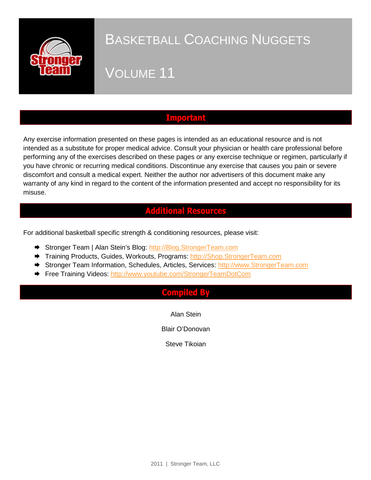

# BASKETBALL COACHING NUGGETS

# VOLUME 11

# **Important**

Any exercise information presented on these pages is intended as an educational resource and is not intended as a substitute for proper medical advice. Consult your physician or health care professional before performing any of the exercises described on these pages or any exercise technique or regimen, particularly if you have chronic or recurring medical conditions. Discontinue any exercise that causes you pain or severe discomfort and consult a medical expert. Neither the author nor advertisers of this document make any warranty of any kind in regard to the content of the information presented and accept no responsibility for its misuse.

# **Additional Resources**

For additional basketball specific strength & conditioning resources, please visit:

- ◆ Stronger Team | Alan Stein's Blog: [http://Blog.StrongerTeam.com](http://blog.strongerteam.com/)
- ◆ Training Products, Guides, Workouts, Programs: [http://Shop.StrongerTeam.com](http://shop.strongerteam.com/)
- ♦ Stronger Team Information, Schedules, Articles, Services: [http://www.StrongerTeam.com](http://www.strongerteam.com/)
- ◆ Free Training Videos:<http://www.youtube.com/StrongerTeamDotCom>

# **Com**

Alan Stein

Blair O'Donovan

Steve Tikoian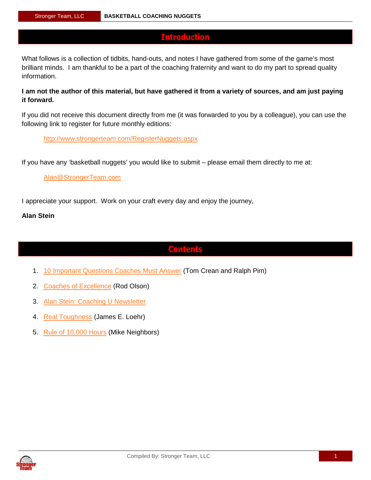# **Introduction**

What follows is a collection of tidbits, hand-outs, and notes I have gathered from some of the game's most brilliant minds. I am thankful to be a part of the coaching fraternity and want to do my part to spread quality information.

## **I am not the author of this material, but have gathered it from a variety of sources, and am just paying it forward.**

If you did not receive this document directly from me (it was forwarded to you by a colleague), you can use the following link to register for future monthly editions:

#### <http://www.strongerteam.com/RegisterNuggets.aspx>

If you have any 'basketball nuggets' you would like to submit – please email them directly to me at:

#### [Alan@StrongerTeam.com](mailto:Alan@StrongerTeam.com)

I appreciate your support. Work on your craft every day and enjoy the journey,

## **Alan Stein**

# **Contents**

- 1. [10 Important Questions Coaches Must Answer](#page-47-0) (Tom Crean and Ralph Pim)
- 2. [Coaches of Excellence](#page-49-0) (Rod Olson)
- 3. [Alan Stein: Coaching U Newsletter](#page-52-0)
- 4. Real [Toughness](#page-54-0) (James E. Loehr)
- 5. [Rule of 10,000 Hours](#page-55-0) (Mike Neighbors)

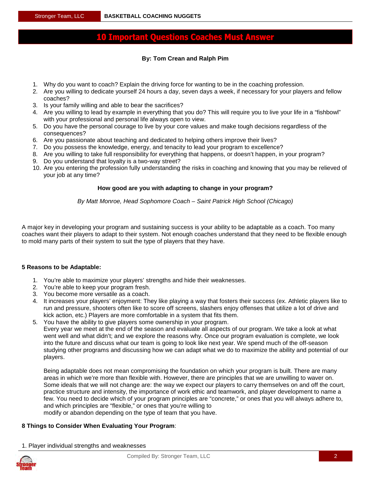# **10 Important Questions Coaches Must Answer**

#### **By: Tom Crean and Ralph Pim**

- <span id="page-47-0"></span>1. Why do you want to coach? Explain the driving force for wanting to be in the coaching profession.
- 2. Are you willing to dedicate yourself 24 hours a day, seven days a week, if necessary for your players and fellow coaches?
- 3. Is your family willing and able to bear the sacrifices?
- 4. Are you willing to lead by example in everything that you do? This will require you to live your life in a "fishbowl" with your professional and personal life always open to view.
- 5. Do you have the personal courage to live by your core values and make tough decisions regardless of the consequences?
- 6. Are you passionate about teaching and dedicated to helping others improve their lives?
- 7. Do you possess the knowledge, energy, and tenacity to lead your program to excellence?
- 8. Are you willing to take full responsibility for everything that happens, or doesn't happen, in your program?
- 9. Do you understand that loyalty is a two-way street?
- 10. Are you entering the profession fully understanding the risks in coaching and knowing that you may be relieved of your job at any time?

#### **How good are you with adapting to change in your program?**

*By Matt Monroe, Head Sophomore Coach – Saint Patrick High School (Chicago)*

A major key in developing your program and sustaining success is your ability to be adaptable as a coach. Too many coaches want their players to adapt to their system. Not enough coaches understand that they need to be flexible enough to mold many parts of their system to suit the type of players that they have.

#### **5 Reasons to be Adaptable:**

- 1. You're able to maximize your players' strengths and hide their weaknesses.
- 2. You're able to keep your program fresh.
- 3. You become more versatile as a coach.
- 4. It increases your players' enjoyment: They like playing a way that fosters their success (ex. Athletic players like to run and pressure, shooters often like to score off screens, slashers enjoy offenses that utilize a lot of drive and kick action, etc.) Players are more comfortable in a system that fits them.
- 5. You have the ability to give players some ownership in your program.

Every year we meet at the end of the season and evaluate all aspects of our program. We take a look at what went well and what didn't; and we explore the reasons why. Once our program evaluation is complete, we look into the future and discuss what our team is going to look like next year. We spend much of the off-season studying other programs and discussing how we can adapt what we do to maximize the ability and potential of our players.

Being adaptable does not mean compromising the foundation on which your program is built. There are many areas in which we're more than flexible with. However, there are principles that we are unwilling to waver on. Some ideals that we will not change are: the way we expect our players to carry themselves on and off the court, practice structure and intensity, the importance of work ethic and teamwork, and player development to name a few. You need to decide which of your program principles are "concrete," or ones that you will always adhere to, and which principles are "flexible," or ones that you're willing to modify or abandon depending on the type of team that you have.

#### **8 Things to Consider When Evaluating Your Program**:

1. Player individual strengths and weaknesses

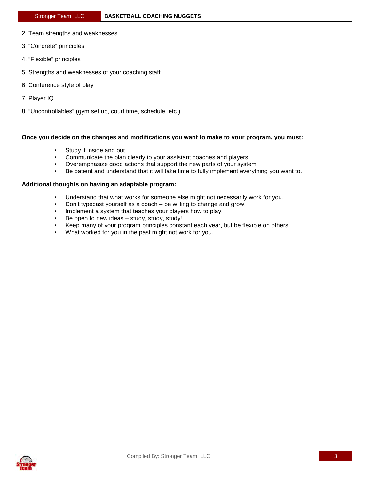- 2. Team strengths and weaknesses
- 3. "Concrete" principles
- 4. "Flexible" principles
- 5. Strengths and weaknesses of your coaching staff
- 6. Conference style of play
- 7. Player IQ
- 8. "Uncontrollables" (gym set up, court time, schedule, etc.)

#### **Once you decide on the changes and modifications you want to make to your program, you must:**

- Study it inside and out
- Communicate the plan clearly to your assistant coaches and players
- Overemphasize good actions that support the new parts of your system<br>• Be patient and understand that it will take time to fully implement everytherm
- Be patient and understand that it will take time to fully implement everything you want to.

#### **Additional thoughts on having an adaptable program:**

- Understand that what works for someone else might not necessarily work for you.
- Don't typecast yourself as a coach be willing to change and grow.
- Implement a system that teaches your players how to play.
- Be open to new ideas study, study, study!
- Keep many of your program principles constant each year, but be flexible on others.
- What worked for you in the past might not work for you.

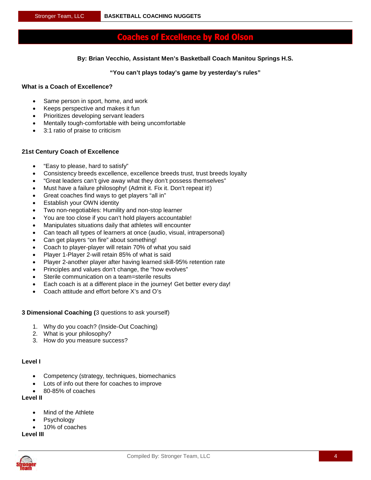# **Coaches of Excellence by Rod Olson**

#### **By: Brian Vecchio, Assistant Men's Basketball Coach Manitou Springs H.S.**

#### **"You can't plays today's game by yesterday's rules"**

#### <span id="page-49-0"></span>**What is a Coach of Excellence?**

- Same person in sport, home, and work
- Keeps perspective and makes it fun
- Prioritizes developing servant leaders
- Mentally tough-comfortable with being uncomfortable
- 3:1 ratio of praise to criticism

#### **21st Century Coach of Excellence**

- "Easy to please, hard to satisfy"
- Consistency breeds excellence, excellence breeds trust, trust breeds loyalty
- "Great leaders can't give away what they don't possess themselves"
- Must have a failure philosophy! (Admit it. Fix it. Don't repeat it!)
- Great coaches find ways to get players "all in"
- Establish your OWN identity
- Two non-negotiables: Humility and non-stop learner
- You are too close if you can't hold players accountable!
- Manipulates situations daily that athletes will encounter
- Can teach all types of learners at once (audio, visual, intrapersonal)
- Can get players "on fire" about something!
- Coach to player-player will retain 70% of what you said
- Player 1-Player 2-will retain 85% of what is said
- Player 2-another player after having learned skill-95% retention rate
- Principles and values don't change, the "how evolves"
- Sterile communication on a team=sterile results
- Each coach is at a different place in the journey! Get better every day!
- Coach attitude and effort before X's and O's

#### **3 Dimensional Coaching (**3 questions to ask yourself)

- 1. Why do you coach? (Inside-Out Coaching)
- 2. What is your philosophy?
- 3. How do you measure success?

#### **Level I**

- Competency (strategy, techniques, biomechanics
- Lots of info out there for coaches to improve
- 80-85% of coaches

#### **Level II**

- Mind of the Athlete
- **Psychology**
- 10% of coaches

## **Level III**

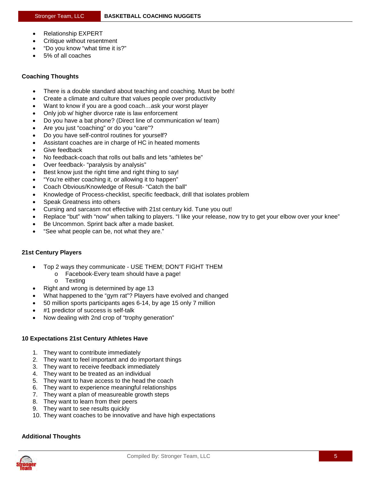- Relationship EXPERT
- Critique without resentment
- "Do you know "what time it is?"
- 5% of all coaches

#### **Coaching Thoughts**

- There is a double standard about teaching and coaching. Must be both!
- Create a climate and culture that values people over productivity
- Want to know if you are a good coach...ask your worst player
- Only job w/ higher divorce rate is law enforcement
- Do you have a bat phone? (Direct line of communication w/ team)
- Are you just "coaching" or do you "care"?
- Do you have self-control routines for yourself?
- Assistant coaches are in charge of HC in heated moments
- Give feedback
- No feedback-coach that rolls out balls and lets "athletes be"
- Over feedback- "paralysis by analysis"
- Best know just the right time and right thing to say!
- "You're either coaching it, or allowing it to happen"
- Coach Obvious/Knowledge of Result- "Catch the ball"
- Knowledge of Process-checklist, specific feedback, drill that isolates problem
- Speak Greatness into others
- Cursing and sarcasm not effective with 21st century kid. Tune you out!
- Replace "but" with "now" when talking to players. "I like your release, now try to get your elbow over your knee"
- Be Uncommon. Sprint back after a made basket.
- "See what people can be, not what they are."

#### **21st Century Players**

- Top 2 ways they communicate USE THEM; DON'T FIGHT THEM
	- o Facebook-Every team should have a page!
	- o Texting
- Right and wrong is determined by age 13
- What happened to the "gym rat"? Players have evolved and changed
- 50 million sports participants ages 6-14, by age 15 only 7 million
- #1 predictor of success is self-talk
- Now dealing with 2nd crop of "trophy generation"

#### **10 Expectations 21st Century Athletes Have**

- 1. They want to contribute immediately
- 2. They want to feel important and do important things
- 3. They want to receive feedback immediately
- 4. They want to be treated as an individual
- 5. They want to have access to the head the coach
- 6. They want to experience meaningful relationships
- 7. They want a plan of measureable growth steps
- 8. They want to learn from their peers
- 9. They want to see results quickly
- 10. They want coaches to be innovative and have high expectations

#### **Additional Thoughts**

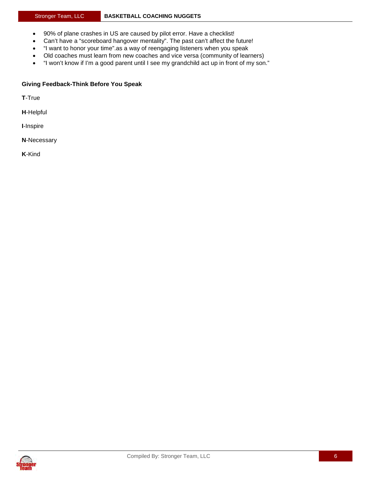- 90% of plane crashes in US are caused by pilot error. Have a checklist!
- Can't have a "scoreboard hangover mentality". The past can't affect the future!
- "I want to honor your time".as a way of reengaging listeners when you speak
- Old coaches must learn from new coaches and vice versa (community of learners)
- "I won't know if I'm a good parent until I see my grandchild act up in front of my son."

#### **Giving Feedback-Think Before You Speak**

**T**-True

**H**-Helpful

**I**-Inspire

**N**-Necessary

**K**-Kind

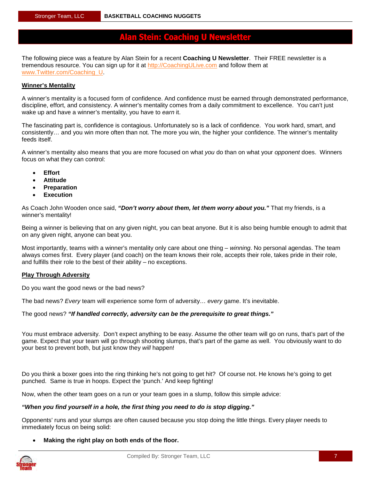# **Alan Stein: Coaching U Newsletter**

<span id="page-52-0"></span>The following piece was a feature by Alan Stein for a recent **Coaching U Newsletter**. Their FREE newsletter is a tremendous resource. You can sign up for it at [http://CoachingULive.com](http://coachingulive.com/) and follow them at [www.Twitter.com/Coaching\\_U.](http://www.twitter.com/Coaching_U)

#### **Winner's Mentality**

A winner's mentality is a focused form of confidence. And confidence must be earned through demonstrated performance, discipline, effort, and consistency. A winner's mentality comes from a daily commitment to excellence. You can't just wake up and have a winner's mentality, you have to *earn* it.

The fascinating part is, confidence is contagious. Unfortunately so is a lack of confidence. You work hard, smart, and consistently… and you win more often than not. The more you win, the higher your confidence. The winner's mentality feeds itself.

A winner's mentality also means that you are more focused on what *you* do than on what your *opponent* does. Winners focus on what they can control:

- **Effort**
- **Attitude**
- **Preparation**
- **Execution**

As Coach John Wooden once said, *"Don't worry about them, let them worry about you."* That my friends, is a winner's mentality!

Being a winner is believing that on any given night, you can beat anyone. But it is also being humble enough to admit that on any given night, anyone can beat you.

Most importantly, teams with a winner's mentality only care about one thing – *winning*. No personal agendas. The team always comes first. Every player (and coach) on the team knows their role, accepts their role, takes pride in their role, and fulfills their role to the best of their ability – no exceptions.

#### **Play Through Adversity**

Do you want the good news or the bad news?

The bad news? *Every* team will experience some form of adversity… *every* game. It's inevitable.

The good news? *"If handled correctly, adversity can be the prerequisite to great things."*

You must embrace adversity. Don't expect anything to be easy. Assume the other team will go on runs, that's part of the game. Expect that your team will go through shooting slumps, that's part of the game as well. You obviously want to do your best to prevent both, but just know they *will* happen!

Do you think a boxer goes into the ring thinking he's not going to get hit? Of course not. He knows he's going to get punched. Same is true in hoops. Expect the 'punch.' And keep fighting!

Now, when the other team goes on a run or your team goes in a slump, follow this simple advice:

#### *"When you find yourself in a hole, the first thing you need to do is stop digging."*

Opponents' runs and your slumps are often caused because you stop doing the little things. Every player needs to immediately focus on being solid:

• **Making the right play on both ends of the floor.** 

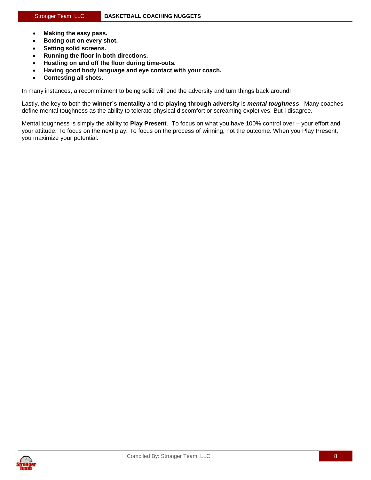- **Making the easy pass.**
- **Boxing out on every shot.**
- **Setting solid screens.**
- **Running the floor in both directions.**
- **Hustling on and off the floor during time-outs.**
- **Having good body language and eye contact with your coach.**
- **Contesting all shots.**

In many instances, a recommitment to being solid will end the adversity and turn things back around!

Lastly, the key to both the **winner's mentality** and to **playing through adversity** is *mental toughness*. Many coaches define mental toughness as the ability to tolerate physical discomfort or screaming expletives. But I disagree.

Mental toughness is simply the ability to **Play Present**. To focus on what you have 100% control over – your effort and your attitude. To focus on the next play. To focus on the process of winning, not the outcome. When you Play Present, you maximize your potential.

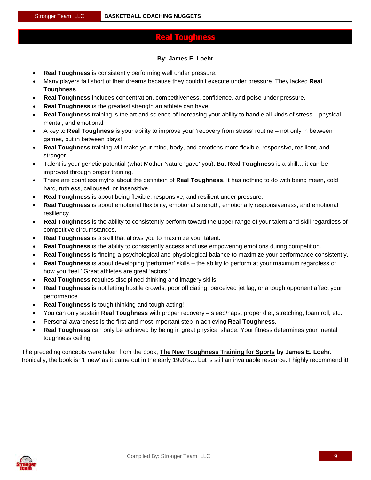# **Real Toughness**

#### **By: James E. Loehr**

- <span id="page-54-0"></span>• **Real Toughness** is consistently performing well under pressure.
- Many players fall short of their dreams because they couldn't execute under pressure. They lacked **Real Toughness**.
- **Real Toughness** includes concentration, competitiveness, confidence, and poise under pressure.
- **Real Toughness** is the greatest strength an athlete can have.
- **Real Toughness** training is the art and science of increasing your ability to handle all kinds of stress physical, mental, and emotional.
- A key to **Real Toughness** is your ability to improve your 'recovery from stress' routine not only in between games, but in between plays!
- **Real Toughness** training will make your mind, body, and emotions more flexible, responsive, resilient, and stronger.
- Talent is your genetic potential (what Mother Nature 'gave' you). But **Real Toughness** is a skill… it can be improved through proper training.
- There are countless myths about the definition of **Real Toughness**. It has nothing to do with being mean, cold, hard, ruthless, calloused, or insensitive.
- **Real Toughness** is about being flexible, responsive, and resilient under pressure.
- **Real Toughness** is about emotional flexibility, emotional strength, emotionally responsiveness, and emotional resiliency.
- **Real Toughness** is the ability to consistently perform toward the upper range of your talent and skill regardless of competitive circumstances.
- **Real Toughness** is a skill that allows you to maximize your talent.
- **Real Toughness** is the ability to consistently access and use empowering emotions during competition.
- **Real Toughness** is finding a psychological and physiological balance to maximize your performance consistently.
- **Real Toughness** is about developing 'performer' skills the ability to perform at your maximum regardless of how you 'feel.' Great athletes are great 'actors!'
- **Real Toughness** requires disciplined thinking and imagery skills.
- **Real Toughness** is not letting hostile crowds, poor officiating, perceived jet lag, or a tough opponent affect your performance.
- **Real Toughness** is tough thinking and tough acting!
- You can only sustain **Real Toughness** with proper recovery sleep/naps, proper diet, stretching, foam roll, etc.
- Personal awareness is the first and most important step in achieving **Real Toughness**.
- **Real Toughness** can only be achieved by being in great physical shape. Your fitness determines your mental toughness ceiling.

The preceding concepts were taken from the book, **The New Toughness Training for Sports by James E. Loehr.** Ironically, the book isn't 'new' as it came out in the early 1990's... but is still an invaluable resource. I highly recommend it!

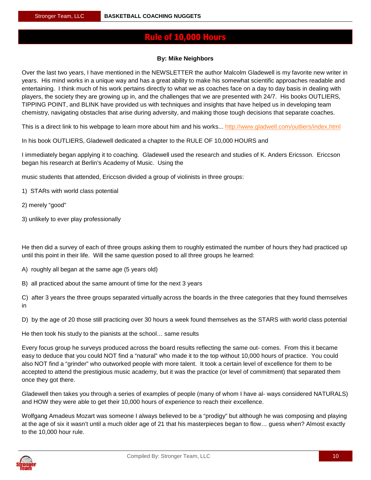# **Rule of 10,000 Hours**

#### **By: Mike Neighbors**

<span id="page-55-0"></span>Over the last two years, I have mentioned in the NEWSLETTER the author Malcolm Gladewell is my favorite new writer in years. His mind works in a unique way and has a great ability to make his somewhat scientific approaches readable and entertaining. I think much of his work pertains directly to what we as coaches face on a day to day basis in dealing with players, the society they are growing up in, and the challenges that we are presented with 24/7. His books OUTLIERS, TIPPING POINT, and BLINK have provided us with techniques and insights that have helped us in developing team chemistry, navigating obstacles that arise during adversity, and making those tough decisions that separate coaches.

This is a direct link to his webpage to learn more about him and his works... <http://www.gladwell.com/outliers/index.html>

In his book OUTLIERS, Gladewell dedicated a chapter to the RULE OF 10,000 HOURS and

I immediately began applying it to coaching. Gladewell used the research and studies of K. Anders Ericsson. Ericcson began his research at Berlin's Academy of Music. Using the

music students that attended, Ericcson divided a group of violinists in three groups:

1) STARs with world class potential

2) merely "good"

3) unlikely to ever play professionally

He then did a survey of each of three groups asking them to roughly estimated the number of hours they had practiced up until this point in their life. Will the same question posed to all three groups he learned:

- A) roughly all began at the same age (5 years old)
- B) all practiced about the same amount of time for the next 3 years

C) after 3 years the three groups separated virtually across the boards in the three categories that they found themselves in

D) by the age of 20 those still practicing over 30 hours a week found themselves as the STARS with world class potential

He then took his study to the pianists at the school… same results

Every focus group he surveys produced across the board results reflecting the same out- comes. From this it became easy to deduce that you could NOT find a "natural" who made it to the top without 10,000 hours of practice. You could also NOT find a "grinder" who outworked people with more talent. It took a certain level of excellence for them to be accepted to attend the prestigious music academy, but it was the practice (or level of commitment) that separated them once they got there.

Gladewell then takes you through a series of examples of people (many of whom I have al- ways considered NATURALS) and HOW they were able to get their 10,000 hours of experience to reach their excellence.

Wolfgang Amadeus Mozart was someone I always believed to be a "prodigy" but although he was composing and playing at the age of six it wasn't until a much older age of 21 that his masterpieces began to flow… guess when? Almost exactly to the 10,000 hour rule.

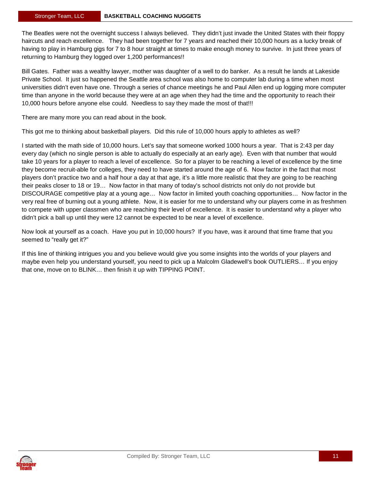The Beatles were not the overnight success I always believed. They didn't just invade the United States with their floppy haircuts and reach excellence. They had been together for 7 years and reached their 10,000 hours as a lucky break of having to play in Hamburg gigs for 7 to 8 hour straight at times to make enough money to survive. In just three years of returning to Hamburg they logged over 1,200 performances!!

Bill Gates. Father was a wealthy lawyer, mother was daughter of a well to do banker. As a result he lands at Lakeside Private School. It just so happened the Seattle area school was also home to computer lab during a time when most universities didn't even have one. Through a series of chance meetings he and Paul Allen end up logging more computer time than anyone in the world because they were at an age when they had the time and the opportunity to reach their 10,000 hours before anyone else could. Needless to say they made the most of that!!!

There are many more you can read about in the book.

This got me to thinking about basketball players. Did this rule of 10,000 hours apply to athletes as well?

I started with the math side of 10,000 hours. Let's say that someone worked 1000 hours a year. That is 2:43 per day every day (which no single person is able to actually do especially at an early age). Even with that number that would take 10 years for a player to reach a level of excellence. So for a player to be reaching a level of excellence by the time they become recruit-able for colleges, they need to have started around the age of 6. Now factor in the fact that most players don't practice two and a half hour a day at that age, it's a little more realistic that they are going to be reaching their peaks closer to 18 or 19… Now factor in that many of today's school districts not only do not provide but DISCOURAGE competitive play at a young age… Now factor in limited youth coaching opportunities… Now factor in the very real free of burning out a young athlete. Now, it is easier for me to understand why our players come in as freshmen to compete with upper classmen who are reaching their level of excellence. It is easier to understand why a player who didn't pick a ball up until they were 12 cannot be expected to be near a level of excellence.

Now look at yourself as a coach. Have you put in 10,000 hours? If you have, was it around that time frame that you seemed to "really get it?"

If this line of thinking intrigues you and you believe would give you some insights into the worlds of your players and maybe even help you understand yourself, you need to pick up a Malcolm Gladewell's book OUTLIERS… If you enjoy that one, move on to BLINK… then finish it up with TIPPING POINT.

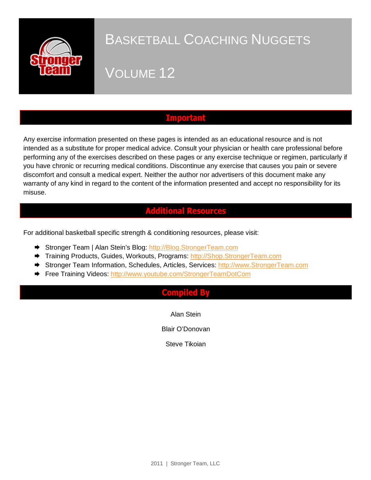

# BASKETBALL COACHING NUGGETS

# VOLUME 12

# **Important**

Any exercise information presented on these pages is intended as an educational resource and is not intended as a substitute for proper medical advice. Consult your physician or health care professional before performing any of the exercises described on these pages or any exercise technique or regimen, particularly if you have chronic or recurring medical conditions. Discontinue any exercise that causes you pain or severe discomfort and consult a medical expert. Neither the author nor advertisers of this document make any warranty of any kind in regard to the content of the information presented and accept no responsibility for its misuse.

# **Additional Resources**

For additional basketball specific strength & conditioning resources, please visit:

- ◆ Stronger Team | Alan Stein's Blog: [http://Blog.StrongerTeam.com](http://blog.strongerteam.com/)
- ◆ Training Products, Guides, Workouts, Programs: [http://Shop.StrongerTeam.com](http://shop.strongerteam.com/)
- ♦ Stronger Team Information, Schedules, Articles, Services: [http://www.StrongerTeam.com](http://www.strongerteam.com/)
- ◆ Free Training Videos:<http://www.youtube.com/StrongerTeamDotCom>

# **Com**

Alan Stein

Blair O'Donovan

Steve Tikoian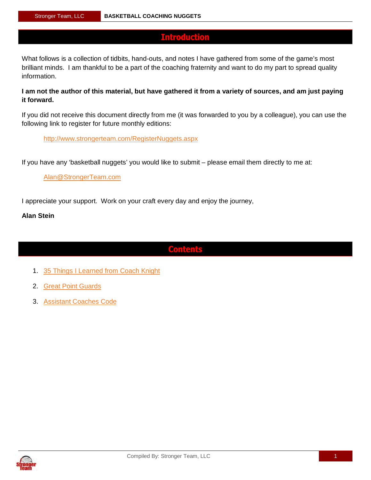# **Introduction**

What follows is a collection of tidbits, hand-outs, and notes I have gathered from some of the game's most brilliant minds. I am thankful to be a part of the coaching fraternity and want to do my part to spread quality information.

## **I am not the author of this material, but have gathered it from a variety of sources, and am just paying it forward.**

If you did not receive this document directly from me (it was forwarded to you by a colleague), you can use the following link to register for future monthly editions:

#### <http://www.strongerteam.com/RegisterNuggets.aspx>

If you have any 'basketball nuggets' you would like to submit – please email them directly to me at:

[Alan@StrongerTeam.com](mailto:Alan@StrongerTeam.com)

I appreciate your support. Work on your craft every day and enjoy the journey,

**Alan Stein**

# **Contents**

- 1. [35 Things I Learned from Coach Knight](#page-59-0)
- 2. [Great Point Guards](#page-61-0)
- 3. [Assistant Coaches Code](#page-62-0)

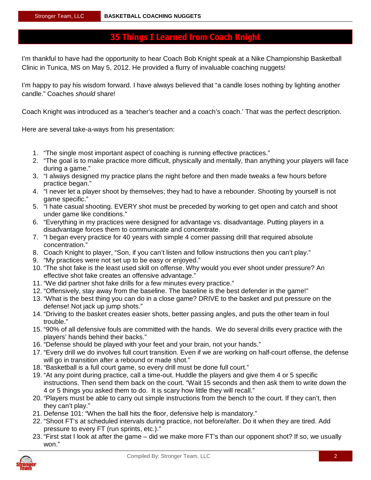# **35 Things I Learned from Coach Knight**

<span id="page-59-0"></span>I'm thankful to have had the opportunity to hear Coach Bob Knight speak at a Nike Championship Basketball Clinic in Tunica, MS on May 5, 2012. He provided a flurry of invaluable coaching nuggets!

I'm happy to pay his wisdom forward. I have always believed that "a candle loses nothing by lighting another candle." Coaches *should* share!

Coach Knight was introduced as a 'teacher's teacher and a coach's coach.' That was the perfect description.

Here are several take-a-ways from his presentation:

- 1. "The single most important aspect of coaching is running effective practices."
- 2. "The goal is to make practice more difficult, physically and mentally, than anything your players will face during a game."
- 3. "I always designed my practice plans the night before and then made tweaks a few hours before practice began."
- 4. "I never let a player shoot by themselves; they had to have a rebounder. Shooting by yourself is not game specific."
- 5. "I hate casual shooting. EVERY shot must be preceded by working to get open and catch and shoot under game like conditions."
- 6. "Everything in my practices were designed for advantage vs. disadvantage. Putting players in a disadvantage forces them to communicate and concentrate.
- 7. "I began every practice for 40 years with simple 4 corner passing drill that required absolute concentration."
- 8. Coach Knight to player, "Son, if you can't listen and follow instructions then you can't play."
- 9. "My practices were not set up to be easy or enjoyed."
- 10. "The shot fake is the least used skill on offense. Why would you ever shoot under pressure? An effective shot fake creates an offensive advantage."
- 11. "We did partner shot fake drills for a few minutes every practice."
- 12. "Offensively, stay away from the baseline. The baseline is the best defender in the game!"
- 13. "What is the best thing you can do in a close game? DRIVE to the basket and put pressure on the defense! Not jack up jump shots."
- 14. "Driving to the basket creates easier shots, better passing angles, and puts the other team in foul trouble."
- 15. "90% of all defensive fouls are committed with the hands. We do several drills every practice with the players' hands behind their backs."
- 16. "Defense should be played with your feet and your brain, not your hands."
- 17. "Every drill we do involves full court transition. Even if we are working on half-court offense, the defense will go in transition after a rebound or made shot."
- 18. "Basketball is a full court game, so every drill must be done full court."
- 19. "At any point during practice, call a time-out. Huddle the players and give them 4 or 5 specific instructions. Then send them back on the court. "Wait 15 seconds and then ask them to write down the 4 or 5 things you asked them to do. It is scary how little they will recall."
- 20. "Players must be able to carry out simple instructions from the bench to the court. If they can't, then they can't play."
- 21. Defense 101: "When the ball hits the floor, defensive help is mandatory."
- 22. "Shoot FT's at scheduled intervals during practice, not before/after. Do it when they are tired. Add pressure to every FT (run sprints, etc.)."
- 23. "First stat I look at after the game did we make more FT's than our opponent shot? If so, we usually won."

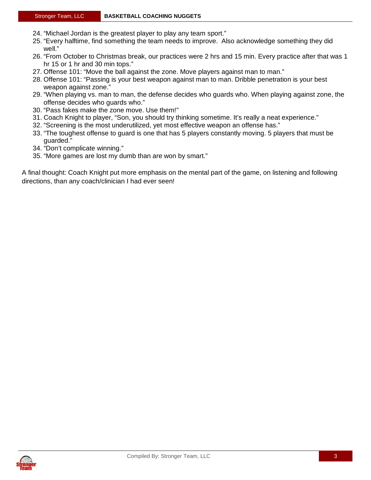- 24. "Michael Jordan is the greatest player to play any team sport."
- 25. "Every halftime, find something the team needs to improve. Also acknowledge something they did well."
- 26. "From October to Christmas break, our practices were 2 hrs and 15 min. Every practice after that was 1 hr 15 or 1 hr and 30 min tops."
- 27. Offense 101: "Move the ball against the zone. Move players against man to man."
- 28. Offense 101: "Passing is your best weapon against man to man. Dribble penetration is your best weapon against zone."
- 29. "When playing vs. man to man, the defense decides who guards who. When playing against zone, the offense decides who guards who."
- 30. "Pass fakes make the zone move. Use them!"
- 31. Coach Knight to player, "Son, you should try thinking sometime. It's really a neat experience."
- 32. "Screening is the most underutilized, yet most effective weapon an offense has."
- 33. "The toughest offense to guard is one that has 5 players constantly moving. 5 players that must be guarded."
- 34. "Don't complicate winning."
- 35. "More games are lost my dumb than are won by smart."

A final thought: Coach Knight put more emphasis on the mental part of the game, on listening and following directions, than any coach/clinician I had ever seen!

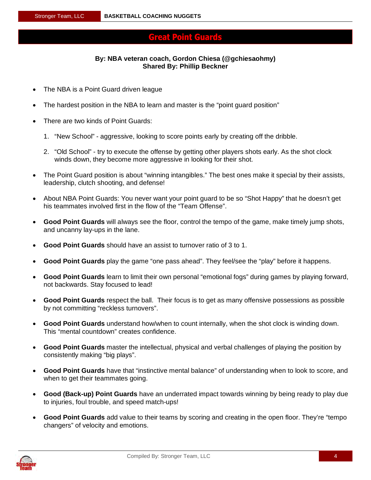# **Point Guards**

## **By: NBA veteran coach, Gordon Chiesa (@gchiesaohmy) Shared By: Phillip Beckner**

- <span id="page-61-0"></span>• The NBA is a Point Guard driven league
- The hardest position in the NBA to learn and master is the "point quard position"
- There are two kinds of Point Guards:
	- 1. "New School" aggressive, looking to score points early by creating off the dribble.
	- 2. "Old School" try to execute the offense by getting other players shots early. As the shot clock winds down, they become more aggressive in looking for their shot.
- The Point Guard position is about "winning intangibles." The best ones make it special by their assists, leadership, clutch shooting, and defense!
- About NBA Point Guards: You never want your point guard to be so "Shot Happy" that he doesn't get his teammates involved first in the flow of the "Team Offense".
- **Good Point Guards** will always see the floor, control the tempo of the game, make timely jump shots, and uncanny lay-ups in the lane.
- **Good Point Guards** should have an assist to turnover ratio of 3 to 1.
- **Good Point Guards** play the game "one pass ahead". They feel/see the "play" before it happens.
- **Good Point Guards** learn to limit their own personal "emotional fogs" during games by playing forward, not backwards. Stay focused to lead!
- **Good Point Guards** respect the ball. Their focus is to get as many offensive possessions as possible by not committing "reckless turnovers".
- **Good Point Guards** understand how/when to count internally, when the shot clock is winding down. This "mental countdown" creates confidence.
- **Good Point Guards** master the intellectual, physical and verbal challenges of playing the position by consistently making "big plays".
- **Good Point Guards** have that "instinctive mental balance" of understanding when to look to score, and when to get their teammates going.
- **Good (Back-up) Point Guards** have an underrated impact towards winning by being ready to play due to injuries, foul trouble, and speed match-ups!
- **Good Point Guards** add value to their teams by scoring and creating in the open floor. They're "tempo changers" of velocity and emotions.